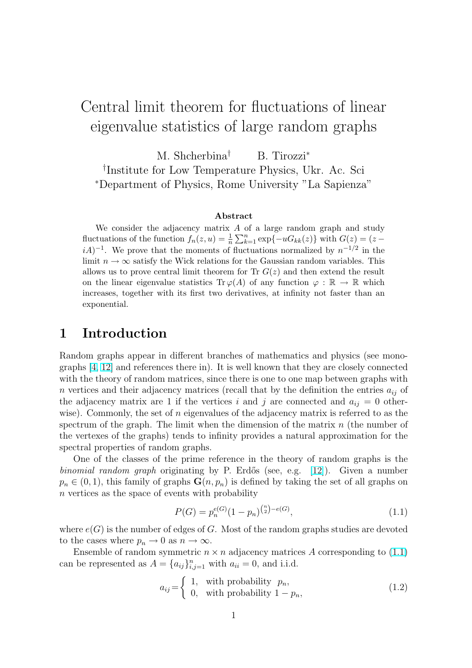# <span id="page-0-0"></span>Central limit theorem for fluctuations of linear eigenvalue statistics of large random graphs

M. Shcherbina<sup>†</sup> B. Tirozzi<sup>\*</sup> † Institute for Low Temperature Physics, Ukr. Ac. Sci <sup>∗</sup>Department of Physics, Rome University "La Sapienza"

#### Abstract

We consider the adjacency matrix  $A$  of a large random graph and study fluctuations of the function  $f_n(z, u) = \frac{1}{n}$ A U<br> $\sum n$  $k=1 \exp\{-uG_{kk}(z)\}\text{ with } G(z) = (z$  $iA$ <sup>-1</sup>. We prove that the moments of fluctuations normalized by  $n^{-1/2}$  in the limit  $n \to \infty$  satisfy the Wick relations for the Gaussian random variables. This allows us to prove central limit theorem for Tr  $G(z)$  and then extend the result on the linear eigenvalue statistics Tr  $\varphi(A)$  of any function  $\varphi : \mathbb{R} \to \mathbb{R}$  which increases, together with its first two derivatives, at infinity not faster than an exponential.

### 1 Introduction

Random graphs appear in different branches of mathematics and physics (see monographs [4, 12] and references there in). It is well known that they are closely connected with the theory of random matrices, since there is one to one map between graphs with n vertices and their adjacency matrices (recall that by the definition the entries  $a_{ij}$  of the adj[acency](#page-22-0) matrix are 1 if the vertices i and j are connected and  $a_{ij} = 0$  otherwise). Commonly, the set of n eigenvalues of the adjacency matrix is referred to as the spectrum of the graph. The limit when the dimension of the matrix  $n$  (the number of the vertexes of the graphs) tends to infinity provides a natural approximation for the spectral properties of random graphs.

One of the classes of the prime reference in the theory of random graphs is the binomial random graph originating by P. Erdős (see, e.g.  $[12]$ ). Given a number  $p_n \in (0,1)$ , this family of graphs  $\mathbf{G}(n, p_n)$  is defined by taking the set of all graphs on n vertices as the space of events with probability

$$
P(G) = p_n^{e(G)}(1 - p_n)^{\binom{n}{2} - e(G)},\tag{1.1}
$$

where  $e(G)$  is the number of edges of G. Most of the random graphs studies are devoted to the cases where  $p_n \to 0$  as  $n \to \infty$ .

Ensemble of random symmetric  $n \times n$  adjacency matrices A corresponding to (1.1) can be represented as  $A = \{a_{ij}\}_{i,j=1}^n$  with  $a_{ii} = 0$ , and i.i.d.

$$
a_{ij} = \begin{cases} 1, & \text{with probability } p_n, \\ 0, & \text{with probability } 1 - p_n, \end{cases} \tag{1.2}
$$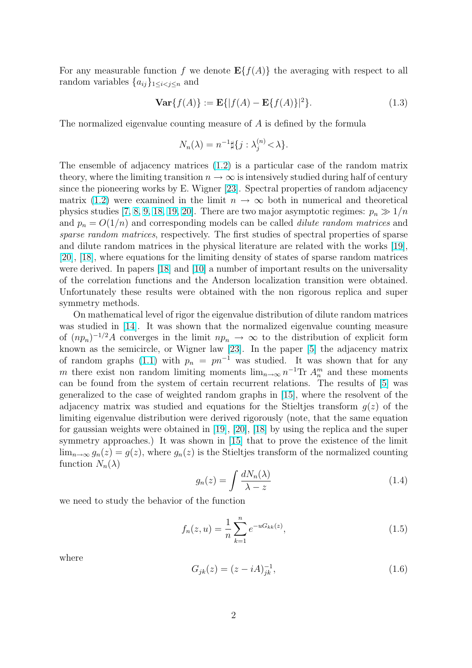<span id="page-1-0"></span>For any measurable function f we denote  $E\{f(A)\}\$ the averaging with respect to all random variables  $\{a_{ij}\}_{1\leq i < j \leq n}$  and

$$
\mathbf{Var}\{f(A)\} := \mathbf{E}\{|f(A) - \mathbf{E}\{f(A)\}|^2\}.
$$
 (1.3)

The normalized eigenvalue counting measure of A is defined by the formula

$$
N_n(\lambda) = n^{-1} \sharp \{ j : \lambda_j^{(n)} < \lambda \}.
$$

The ensemble of adjacency matrices (1.2) is a particular case of the random matrix theory, where the limiting transition  $n \to \infty$  is intensively studied during half of century since the pioneering works by E. Wigner [23]. Spectral properties of random adjacency matrix (1.2) were examined in the li[mit](#page-0-0)  $n \to \infty$  both in numerical and theoretical physics studies [7, 8, 9, 18, 19, 20]. There are two major asymptotic regimes:  $p_n \gg 1/n$ and  $p_n = O(1/n)$  and corresponding mo[dels](#page-23-0) can be called *dilute random matrices* and sparse r[ando](#page-0-0)m matrices, respectively. The first studies of spectral properties of sparse and dilute rand[om ma](#page-22-0)[trices in th](#page-23-0)e physical literature are related with the works [19], [20], [18], where equations for the limiting density of states of sparse random matrices were derived. In papers [18] and [10] a number of important results on the universality of the correlation functions and the Anderson localization transition were obtai[ned](#page-23-0). [Unf](#page-23-0)o[rtun](#page-23-0)ately these results were obtained with the non rigorous replica and super symmetry methods.

On mathematical lev[el o](#page-23-0)f rigo[r th](#page-22-0)e eigenvalue distribution of dilute random matrices was studied in [14]. It was shown that the normalized eigenvalue counting measure of  $(np_n)^{-1/2}A$  converges in the limit  $np_n \to \infty$  to the distribution of explicit form known as the semicircle, or Wigner law [23]. In the paper [5] the adjacency matrix of random gra[phs](#page-23-0) (1.1) with  $p_n = pn^{-1}$  was studied. It was shown that for any m there exist non random limiting moments  $\lim_{n\to\infty} n^{-1}\text{Tr } A_n^m$  and these moments can be found from the system of certain [rec](#page-23-0)urrent relations[.](#page-22-0) The results of [5] was generalized to thec[ase](#page-0-0) of weighted random graphs in [15], where the resolvent of the adjacency matrix was studied and equations for the Stieltjes transform  $q(z)$  of the limiting eigenvalue distribution were derived rigorously (note, that the same e[qua](#page-22-0)tion for gaussian weights were obtained in [19], [20], [18] by [usi](#page-23-0)ng the replica and the super symmetry approaches.) It was shown in [15] that to prove the existence of the limit  $\lim_{n\to\infty} g_n(z) = g(z)$ , where  $g_n(z)$  is the Stieltjes transform of the normalized counting function  $N_n(\lambda)$ 

$$
g_n(z) = \int \frac{dN_n(\lambda)}{\lambda - z} \tag{1.4}
$$

we need to study the behavior of the function

$$
f_n(z, u) = \frac{1}{n} \sum_{k=1}^n e^{-uG_{kk}(z)},
$$
\n(1.5)

where

$$
G_{jk}(z) = (z - iA)_{jk}^{-1},
$$
\n(1.6)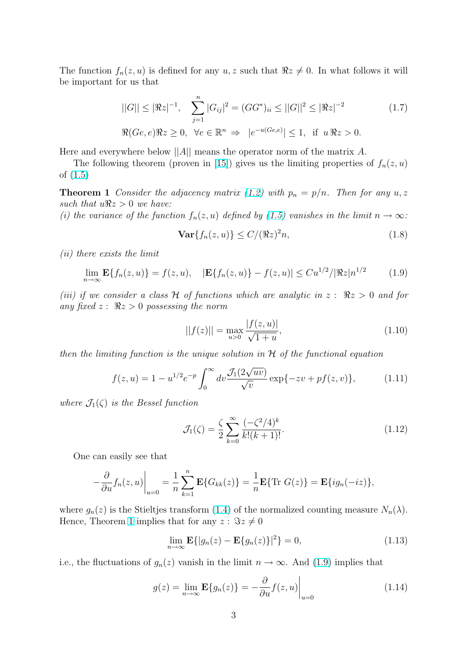<span id="page-2-0"></span>The function  $f_n(z, u)$  is defined for any  $u, z$  such that  $\Re z \neq 0$ . In what follows it will be important for us that

$$
||G|| \leq |\Re z|^{-1}, \quad \sum_{j=1}^{n} |G_{ij}|^2 = (GG^*)_{ii} \leq ||G||^2 \leq |\Re z|^{-2}
$$
\n
$$
\Re(Ge, e)\Re z \geq 0, \quad \forall e \in \mathbb{R}^n \Rightarrow |e^{-u(Ge, e)}| \leq 1, \quad \text{if} \quad u\Re z > 0.
$$
\n
$$
(1.7)
$$

Here and everywhere below  $||A||$  means the operator norm of the matrix A.

The following theorem (proven in [15]) gives us the limiting properties of  $f_n(z, u)$ of (1.5)

**Theorem 1** Consider the adjacency matrix (1.2) with  $p_n = p/n$ . Then for any  $u, z$ such that  $u\Re z > 0$  we have:

(i) [the](#page-1-0) variance of the function  $f_n(z, u)$  defined by (1.5) vanishes in the limit  $n \to \infty$ :

$$
\mathbf{Var}\{f_n(z,u)\} \le C/(\Re z)^2 n,\tag{1.8}
$$

(ii) there exists the limit

$$
\lim_{n \to \infty} \mathbf{E}\{f_n(z, u)\} = f(z, u), \quad |\mathbf{E}\{f_n(z, u)\} - f(z, u)| \leq C u^{1/2} / |\Re z| n^{1/2} \tag{1.9}
$$

(iii) if we consider a class H of functions which are analytic in  $z: \Re z > 0$  and for any fixed  $z: \Re z > 0$  possessing the norm

$$
||f(z)|| = \max_{u>0} \frac{|f(z, u)|}{\sqrt{1 + u}},
$$
\n(1.10)

then the limiting function is the unique solution in  $H$  of the functional equation

$$
f(z, u) = 1 - u^{1/2} e^{-p} \int_0^\infty dv \frac{\mathcal{J}_1(2\sqrt{uv})}{\sqrt{v}} \exp\{-zv + pf(z, v)\},\tag{1.11}
$$

where  $\mathcal{J}_1(\zeta)$  is the Bessel function

$$
\mathcal{J}_1(\zeta) = \frac{\zeta}{2} \sum_{k=0}^{\infty} \frac{(-\zeta^2/4)^k}{k!(k+1)!}.
$$
 (1.12)

One can easily see that

$$
-\frac{\partial}{\partial u}f_n(z,u)\Big|_{u=0} = \frac{1}{n}\sum_{k=1}^n \mathbf{E}\{G_{kk}(z)\} = \frac{1}{n}\mathbf{E}\{\text{Tr } G(z)\} = \mathbf{E}\{ig_n(-iz)\},
$$

where  $g_n(z)$  is the Stieltjes transform (1.4) of the normalized counting measure  $N_n(\lambda)$ . Hence, Theorem 1 implies that for any  $z : \Im z \neq 0$ 

$$
\lim_{n \to \infty} \mathbf{E} \{ |g_n(z) - \mathbf{E} \{ g_n(z) \} |^2 \} = 0,
$$
\n(1.13)

i.e., the fluctuations of  $g_n(z)$  vanish in the limit  $n \to \infty$ . And (1.9) implies that

$$
g(z) = \lim_{n \to \infty} \mathbf{E}\{g_n(z)\} = -\frac{\partial}{\partial u} f(z, u)\Big|_{u=0}
$$
 (1.14)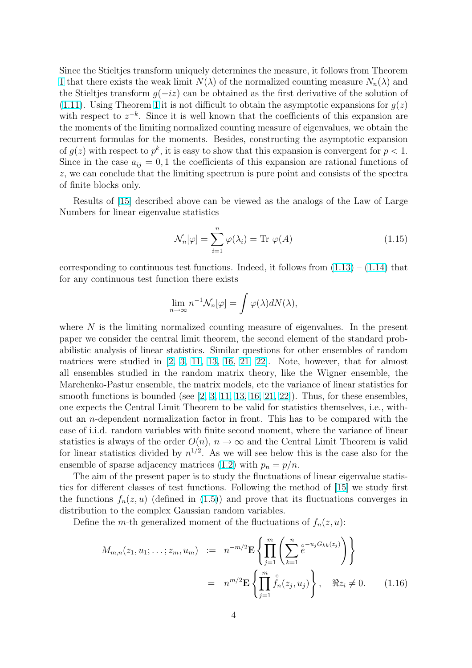<span id="page-3-0"></span>Since the Stieltjes transform uniquely determines the measure, it follows from Theorem 1 that there exists the weak limit  $N(\lambda)$  of the normalized counting measure  $N_n(\lambda)$  and the Stieltjes transform  $g(-iz)$  can be obtained as the first derivative of the solution of (1.11). Using Theorem 1 it is not difficult to obtain the asymptotic expansions for  $g(z)$ [w](#page-2-0)ith respect to  $z^{-k}$ . Since it is well known that the coefficients of this expansion are the moments of the limiting normalized counting measure of eigenvalues, we obtain the [recurr](#page-2-0)ent formulas for [th](#page-2-0)e moments. Besides, constructing the asymptotic expansion of  $g(z)$  with respect to  $p^k$ , it is easy to show that this expansion is convergent for  $p < 1$ . Since in the case  $a_{ij} = 0, 1$  the coefficients of this expansion are rational functions of z, we can conclude that the limiting spectrum is pure point and consists of the spectra of finite blocks only.

Results of [15] described above can be viewed as the analogs of the Law of Large Numbers for linear eigenvalue statistics

$$
\mathcal{N}_n[\varphi] = \sum_{i=1}^n \varphi(\lambda_i) = \text{Tr } \varphi(A)
$$
\n(1.15)

corresponding to continuous test functions. Indeed, it follows from  $(1.13) - (1.14)$  that for any continuous test function there exists

$$
\lim_{n \to \infty} n^{-1} \mathcal{N}_n[\varphi] = \int \varphi(\lambda) dN(\lambda),
$$

where  $N$  is the limiting normalized counting measure of eigenvalues. In the present paper we consider the central limit theorem, the second element of the standard probabilistic analysis of linear statistics. Similar questions for other ensembles of random matrices were studied in [2, 3, 11, 13, 16, 21, 22]. Note, however, that for almost all ensembles studied in the random matrix theory, like the Wigner ensemble, the Marchenko-Pastur ensemble, the matrix models, etc the variance of linear statistics for smooth functions is bound[ed \(s](#page-22-0)ee  $[2, 3, 11, 13, 16, 21, 22]$  $[2, 3, 11, 13, 16, 21, 22]$  $[2, 3, 11, 13, 16, 21, 22]$ ). Thus, for these ensembles, one expects the Central Limit Theo[rem](#page-22-0) to b[e valid](#page-23-0) for statistics themselves, i.e., without an n-dependent normalization factor in front. This has to be compared with the case of i.i.d. random variables wit[h finite secon](#page-22-0)[d moment](#page-23-0), where the variance of linear statistics is always of the order  $O(n)$ ,  $n \to \infty$  and the Central Limit Theorem is valid for linear statistics divided by  $n^{1/2}$ . As we will see below this is the case also for the ensemble of sparse adjacency matrices (1.2) with  $p_n = p/n$ .

The aim of the present paper is to study the fluctuations of linear eigenvalue statistics for different classes of test functions. Following the method of [15] we study first the functions  $f_n(z, u)$  (defined in (1.5)[\) an](#page-0-0)d prove that its fluctuations converges in distribution to the complex Gaussian random variables.

Define the m-th generalized moment of the fluctuations of  $f_n(z, u)$ :

$$
M_{m,n}(z_1, u_1; \dots; z_m, u_m) := n^{-m/2} \mathbf{E} \left\{ \prod_{j=1}^m \left( \sum_{k=1}^n e^{-u_j G_{kk}(z_j)} \right) \right\}
$$
  
=  $n^{m/2} \mathbf{E} \left\{ \prod_{j=1}^m \int_{n}^{\circ} (z_j, u_j) \right\}, \quad \Re z_i \neq 0.$  (1.16)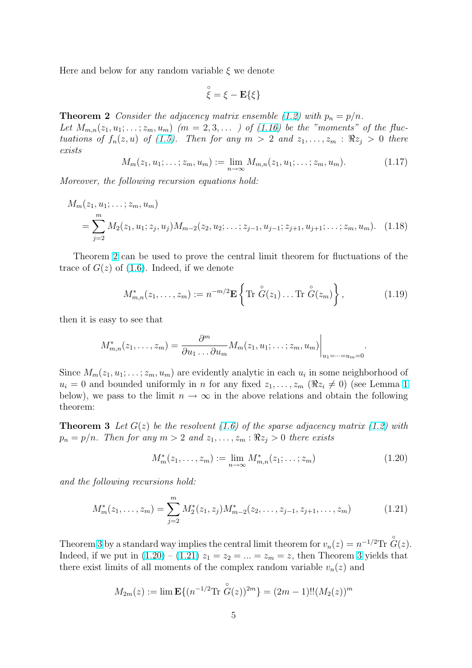<span id="page-4-0"></span>Here and below for any random variable  $\xi$  we denote

$$
\overset{\circ}{\xi} = \xi - \mathbf{E}\{\xi\}
$$

**Theorem 2** Consider the adjacency matrix ensemble (1.2) with  $p_n = p/n$ . Let  $M_{m,n}(z_1,u_1;\ldots;z_m,u_m)$   $(m=2,3,\ldots)$  of  $(1.16)$  be the "moments" of the fluctuations of  $f_n(z, u)$  of (1.5). Then for any  $m > 2$  and  $z_1, \ldots, z_m : \Re z_i > 0$  there exists

$$
M_m(z_1, u_1; \dots; z_m, u_m) := \lim_{n \to \infty} M_{m,n}(z_1, u_1; \dots; z_m, u_m).
$$
 (1.17)

Moreover, the following [recu](#page-1-0)rsion equations hold:

$$
M_m(z_1, u_1; \dots; z_m, u_m)
$$
  
= 
$$
\sum_{j=2}^m M_2(z_1, u_1; z_j, u_j) M_{m-2}(z_2, u_2; \dots; z_{j-1}, u_{j-1}; z_{j+1}, u_{j+1}; \dots; z_m, u_m).
$$
 (1.18)

Theorem 2 can be used to prove the central limit theorem for fluctuations of the trace of  $G(z)$  of (1.6). Indeed, if we denote

$$
M_{m,n}^*(z_1,\ldots,z_m) := n^{-m/2} \mathbf{E} \left\{ \text{Tr } \overset{\circ}{G}(z_1) \ldots \text{Tr } \overset{\circ}{G}(z_m) \right\},\tag{1.19}
$$

then it is easy to see that

$$
M_{m,n}^*(z_1,\ldots,z_m)=\frac{\partial^m}{\partial u_1\ldots\partial u_m}M_m(z_1,u_1;\ldots,z_m,u_m)\Big|_{u_1=\cdots=u_m=0}
$$

Since  $M_m(z_1, u_1; \ldots; z_m, u_m)$  are evidently analytic in each  $u_i$  in some neighborhood of  $u_i = 0$  and bounded uniformly in *n* for any fixed  $z_1, \ldots, z_m$  ( $\Re z_i \neq 0$ ) (see Lemma 1) below), we pass to the limit  $n \to \infty$  in the above relations and obtain the following theorem:

**Theorem 3** Let  $G(z)$  be [th](#page-6-0)e resolvent (1.6) of the sparse adjacency matrix (1.2) with  $p_n = p/n$ . Then for any  $m > 2$  and  $z_1, \ldots, z_m : \Re z_i > 0$  there exists

$$
M_m^*(z_1, \dots, z_m) := \lim_{n \to \infty} M_{m,n}^*(z_1; \dots; z_m)
$$
 (1.20)

.

and the following recursions hold:

$$
M_m^*(z_1, \dots, z_m) = \sum_{j=2}^m M_2^*(z_1, z_j) M_{m-2}^*(z_2, \dots, z_{j-1}, z_{j+1}, \dots, z_m)
$$
(1.21)

Theorem 3 by a standard way implies the central limit theorem for  $v_n(z) = n^{-1/2} \text{Tr } \overset{\circ}{G}(z)$ . Indeed, if we put in  $(1.20) - (1.21) z_1 = z_2 = ... = z_m = z$ , then Theorem 3 yields that there exist limits of all moments of the complex random variable  $v_n(z)$  and

$$
M_{2m}(z) := \lim \mathbf{E}\{(n^{-1/2}\text{Tr }\overset{\circ}{G}(z))^{2m}\} = (2m-1)!!(M_2(z))^m
$$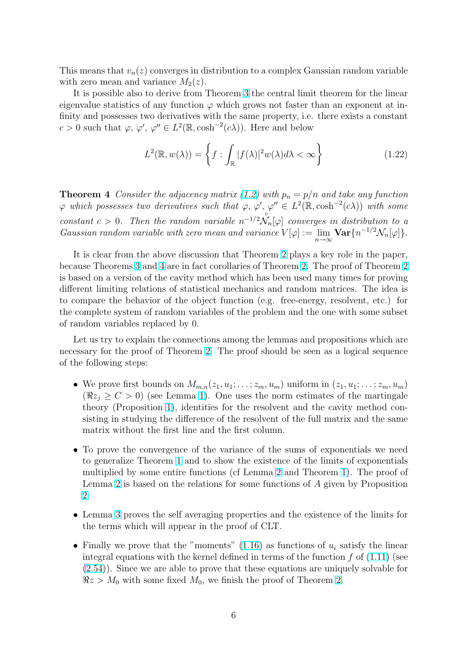<span id="page-5-0"></span>This means that  $v_n(z)$  converges in distribution to a complex Gaussian random variable with zero mean and variance  $M_2(z)$ .

It is possible also to derive from Theorem 3 the central limit theorem for the linear eigenvalue statistics of any function  $\varphi$  which grows not faster than an exponent at infinity and possesses two derivatives with the same property, i.e. there exists a constant  $c > 0$  such that  $\varphi, \varphi', \varphi'' \in L^2(\mathbb{R}, \cosh^{-2}(c\lambda))$ . Here and below

$$
L^{2}(\mathbb{R}, w(\lambda)) = \left\{ f : \int_{\mathbb{R}} |f(\lambda)|^{2} w(\lambda) d\lambda < \infty \right\}
$$
 (1.22)

**Theorem 4** Consider the adjacency matrix (1.2) with  $p_n = p/n$  and take any function  $\varphi$  which possesses two derivatives such that  $\varphi, \varphi', \varphi'' \in L^2(\mathbb{R}, \cosh^{-2}(c\lambda))$  with some constant  $c > 0$ . Then the random variable  $n^{-1/2} \mathcal{N}_n[\varphi]$  converges in distribution to a Gaussian random [var](#page-0-0)iable with zero mean and variance  $V[\varphi] := \lim_{n \to \infty} \mathbf{Var}\{n^{-1/2} \mathcal{N}_n[\varphi]\}.$ 

It is clear from the above discussion that Theorem 2 plays a key role in the paper, because Theorems 3 and 4 are in fact corollaries of Theorem 2. The proof of Theorem 2 is based on a version of the cavity method which has been used many times for proving different limiting relations of statistical mechanics an[d r](#page-4-0)andom matrices. The idea is to compare the b[eha](#page-4-0)vior of the object function (e.g. free-[en](#page-4-0)ergy, resolvent, etc.)f[or](#page-4-0) the complete system of random variables of the problem and the one with some subset of random variables replaced by 0.

Let us try to explain the connections among the lemmas and propositions which are necessary for the proof of Theorem 2. The proof should be seen as a logical sequence of the following steps:

- We prove first bounds on  $M_{m,n}(z_1, u_1; \ldots; z_m, u_m)$  uniform in  $(z_1, u_1; \ldots; z_m, u_m)$  $(\Re z_i \ge C > 0)$  (see Lemma 1[\).](#page-4-0) One uses the norm estimates of the martingale theory (Proposition 1), identities for the resolvent and the cavity method consisting in studying the difference of the resolvent of the full matrix and the same matrix without the first line [an](#page-6-0)d the first column.
- To prove the conver[ge](#page-6-0)nce of the variance of the sums of exponentials we need to generalize Theorem 1 and to show the existence of the limits of exponentials multiplied by some entire functions (cf Lemma 2 and Theorem 1). The proof of Lemma 2 is based on the relations for some functions of A given by Proposition 2.
- Lemma 3 proves the self averaging propertiesa[nd](#page-10-0) the existence [o](#page-2-0)f the limits for the ter[ms](#page-10-0) which will appear in the proof of CLT.
- Finally we prove that the "moments"  $(1.16)$  as functions of  $u_i$  satisfy the linear integral [eq](#page-13-0)uations with the kernel defined in terms of the function  $f$  of  $(1.11)$  (see (2.54)). Since we are able to prove that these equations are uniquely solvable for  $\Re z > M_0$  with some fixed  $M_0$ , we finis[h the](#page-3-0) proof of Theorem 2.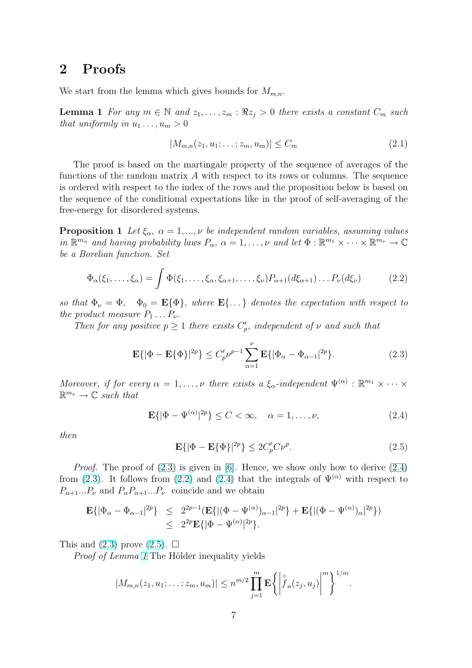### <span id="page-6-0"></span>2 Proofs

We start from the lemma which gives bounds for  $M_{m,n}$ .

**Lemma 1** For any  $m \in \mathbb{N}$  and  $z_1, \ldots, z_m : \Re z_j > 0$  there exists a constant  $C_m$  such that uniformly in  $u_1 \ldots, u_m > 0$ 

$$
|M_{m,n}(z_1, u_1; \dots; z_m, u_m)| \le C_m \tag{2.1}
$$

The proof is based on the martingale property of the sequence of averages of the functions of the random matrix A with respect to its rows or columns. The sequence is ordered with respect to the index of the rows and the proposition below is based on the sequence of the conditional expectations like in the proof of self-averaging of the free-energy for disordered systems.

**Proposition 1** Let  $\xi_{\alpha}$ ,  $\alpha = 1,..., \nu$  be independent random variables, assuming values in  $\mathbb{R}^{m_\alpha}$  and having probability laws  $P_\alpha$ ,  $\alpha = 1, \ldots, \nu$  and let  $\Phi : \mathbb{R}^{m_1} \times \cdots \times \mathbb{R}^{m_\nu} \to \mathbb{C}$ be a Borelian function. Set

$$
\Phi_{\alpha}(\xi_1,\ldots,\xi_{\alpha}) = \int \Phi(\xi_1,\ldots,\xi_{\alpha},\xi_{\alpha+1},\ldots,\xi_{\nu}) P_{\alpha+1}(d\xi_{\alpha+1}) \ldots P_{\nu}(d\xi_{\nu})
$$
\n(2.2)

so that  $\Phi_{\nu} = \Phi$ ,  $\Phi_0 = \mathbf{E} {\Phi}$ , where  $\mathbf{E} {\ldots}$  denotes the expectation with respect to the product measure  $P_1 \ldots P_{\nu}$ .

Then for any positive  $p \geq 1$  there exists  $C_p'$ , independent of  $\nu$  and such that

$$
\mathbf{E}\{|\Phi - \mathbf{E}\{\Phi\}|^{2p}\} \le C'_p \nu^{p-1} \sum_{\alpha=1}^{\nu} \mathbf{E}\{|\Phi_{\alpha} - \Phi_{\alpha-1}|^{2p}\}.
$$
 (2.3)

Moreover, if for every  $\alpha = 1, \ldots, \nu$  there exists a  $\xi_{\alpha}$ -independent  $\Psi^{(\alpha)} : \mathbb{R}^{m_1} \times \cdots \times$  $\mathbb{R}^{m_{\nu}} \to \mathbb{C}$  such that

$$
\mathbf{E}\{|\Phi - \Psi^{(\alpha)}|^{2p}\} \le C < \infty, \quad \alpha = 1, \dots, \nu,\tag{2.4}
$$

then

$$
\mathbf{E}\{|\Phi - \mathbf{E}\{\Phi\}|^{2p}\} \le 2C_p'C\nu^p. \tag{2.5}
$$

*Proof.* The proof of  $(2.3)$  is given in [6]. Hence, we show only how to derive  $(2.4)$ from (2.3). It follows from (2.2) and (2.4) that the integrals of  $\Psi^{(\alpha)}$  with respect to  $P_{\alpha+1}...P_{\nu}$  and  $P_{\alpha}P_{\alpha+1}...P_{\nu}$  coincide and we obtain

$$
\begin{array}{rcl}\mathbf{E}\{|\Phi_{\alpha}-\Phi_{\alpha-1}|^{2p}\}&\leq& 2^{2p-1}(\mathbf{E}\{|(\Phi-\Psi^{(\alpha)})_{\alpha-1}|^{2p}\}+\mathbf{E}\{|(\Phi-\Psi^{(\alpha)})_{\alpha}|^{2p}\})\\&\leq& 2^{2p}\mathbf{E}\{|\Phi-\Psi^{(\alpha)}|^{2p}\}.\end{array}
$$

This and  $(2.3)$  prove  $(2.5)$ .  $\Box$ 

*Proof of Lemma 1* The Hölder inequality yields

$$
|M_{m,n}(z_1, u_1; \ldots; z_m, u_m)| \leq n^{m/2} \prod_{j=1}^m \mathbf{E} \bigg\{ \bigg| \hat{f}_n(z_j, u_j) \bigg|^m \bigg\}^{1/m}.
$$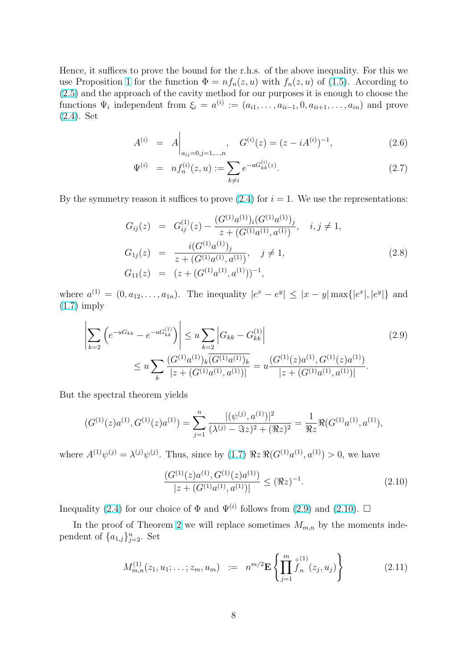<span id="page-7-0"></span>Hence, it suffices to prove the bound for the r.h.s. of the above inequality. For this we use Proposition 1 for the function  $\Phi = nf_n(z, u)$  with  $f_n(z, u)$  of (1.5). According to (2.5) and the approach of the cavity method for our purposes it is enough to choose the functions  $\Psi_i$  independent from  $\xi_i = a^{(i)} := (a_{i1}, \ldots, a_{ii-1}, 0, a_{ii+1}, \ldots, a_{in})$  and prove (2.4). Set

$$
A^{(i)} = A \Big|_{a_{ij}=0, j=1,\dots,n}, \quad G^{(i)}(z) = (z - iA^{(i)})^{-1}, \tag{2.6}
$$

$$
\Psi^{(i)} = n f_n^{(i)}(z, u) := \sum_{k \neq i} e^{-u G_{kk}^{(i)}(z)}.
$$
\n(2.7)

By the symmetry reason it suffices to prove  $(2.4)$  for  $i = 1$ . We use the representations:

$$
G_{ij}(z) = G_{ij}^{(1)}(z) - \frac{(G^{(1)}a^{(1)})_i(G^{(1)}a^{(1)})_j}{z + (G^{(1)}a^{(1)}, a^{(1)})}, \quad i, j \neq 1,
$$
  
\n
$$
G_{1j}(z) = \frac{i(G^{(1)}a^{(1)})_j}{z + (G^{(1)}a^{(1)}, a^{(1)})}, \quad j \neq 1,
$$
  
\n
$$
G_{11}(z) = (z + (G^{(1)}a^{(1)}, a^{(1)}))^{-1},
$$
\n(2.8)

where  $a^{(1)} = (0, a_{12}, \ldots, a_{1n})$ . The inequality  $|e^x - e^y| \leq |x - y| \max\{|e^x|, |e^y|\}$  and (1.7) imply

$$
\left| \sum_{k=2} \left( e^{-uG_{kk}} - e^{-uG_{kk}^{(1)}} \right) \right| \le u \sum_{k=2} |G_{kk} - G_{kk}^{(1)}|
$$
\n
$$
\le u \sum_{k} \frac{(G^{(1)}a^{(1)})_k \overline{(G^{(1)}a^{(1)})_k}}{|z + (G^{(1)}a^{(1)}, a^{(1)})|} = u \frac{(G^{(1)}(z)a^{(1)}, G^{(1)}(z)a^{(1)})}{|z + (G^{(1)}a^{(1)}, a^{(1)})|}.
$$
\n(2.9)

But the spectral theorem yields

$$
(G^{(1)}(z)a^{(1)}, G^{(1)}(z)a^{(1)}) = \sum_{j=1}^{n} \frac{|(\psi^{(j)}, a^{(1)})|^2}{(\lambda^{(j)} - \Im z)^2 + (\Re z)^2} = \frac{1}{\Re z} \Re(G^{(1)}a^{(1)}, a^{(1)}),
$$

where  $A^{(1)}\psi^{(j)} = \lambda^{(j)}\psi^{(j)}$ . Thus, since by  $(1.7) \Re z \Re(G^{(1)}a^{(1)}, a^{(1)}) > 0$ , we have

$$
\frac{(G^{(1)}(z)a^{(1)}, G^{(1)}(z)a^{(1)})}{|z + (G^{(1)}a^{(1)}, a^{(1)})|} \le (\Re z)^{-1}.
$$
\n(2.10)

Inequality (2.4) for our choice of  $\Phi$  and  $\Psi^{(i)}$  follows from (2.9) and (2.10).  $\Box$ 

In the proof of Theorem 2 we will replace sometimes  $M_{m,n}$  by the moments independent of  $\{a_{1,j}\}_{j=2}^n$ . Set

$$
M_{m,n}^{(1)}(z_1, u_1; \dots; z_m, u_m) := n^{m/2} \mathbf{E} \left\{ \prod_{j=1}^m \int_{n}^{\circ} (z_j, u_j) \right\} \tag{2.11}
$$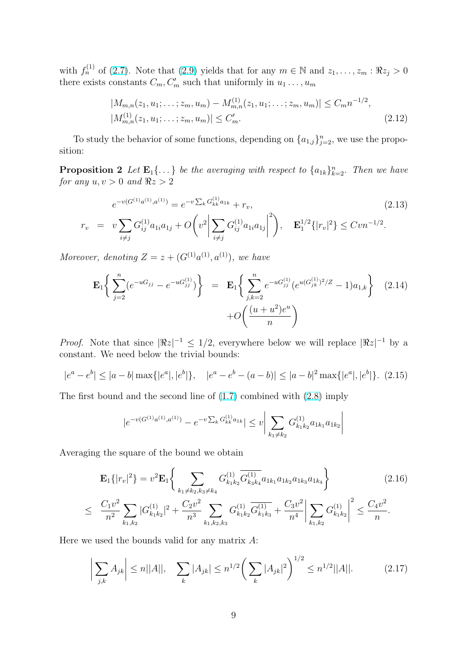<span id="page-8-0"></span>with  $f_n^{(1)}$  of (2.7). Note that (2.9) yields that for any  $m \in \mathbb{N}$  and  $z_1, \ldots, z_m : \Re z_j > 0$ there exists constants  $C_m, C'_m$  such that uniformly in  $u_1 \dots, u_m$ 

$$
|M_{m,n}(z_1, u_1; \dots; z_m, u_m) - M_{m,n}^{(1)}(z_1, u_1; \dots; z_m, u_m)| \le C_m n^{-1/2},
$$
  

$$
|M_{m,n}^{(1)}(z_1, u_1; \dots; z_m, u_m)| \le C'_m.
$$
 (2.12)

To study the behavior of some functions, depending on  $\{a_{1,j}\}_{j=2}^n$ , we use the proposition:

**Proposition 2** Let  $\mathbf{E}_1\{\ldots\}$  be the averaging with respect to  $\{a_{1k}\}_{k=2}^n$ . Then we have for any  $u, v > 0$  and  $\Re z > 2$ 

$$
e^{-v(G^{(1)}a^{(1)},a^{(1)})} = e^{-v\sum_{k} G_{kk}^{(1)} a_{1k}} + r_v,
$$
\n
$$
r_v = v \sum_{i \neq j} G_{ij}^{(1)} a_{1i} a_{1j} + O\left(v^2 \left| \sum_{i \neq j} G_{ij}^{(1)} a_{1i} a_{1j} \right|^2 \right), \quad \mathbf{E}_1^{1/2} \{ |r_v|^2 \} \le C v n^{-1/2}.
$$
\n
$$
(2.13)
$$

Moreover, denoting  $Z = z + (G^{(1)}a^{(1)}, a^{(1)})$ , we have

$$
\mathbf{E}_{1}\left\{\sum_{j=2}^{n}(e^{-uG_{jj}}-e^{-uG_{jj}^{(1)}})\right\} = \mathbf{E}_{1}\left\{\sum_{j,k=2}^{n}e^{-uG_{jj}^{(1)}}(e^{u(G_{jk}^{(1)})^{2}/Z}-1)a_{1,k}\right\}
$$
(2.14)  
+ $O\left(\frac{(u+u^{2})e^{u}}{n}\right)$ 

*Proof.* Note that since  $|\Re z|^{-1} \leq 1/2$ , everywhere below we will replace  $|\Re z|^{-1}$  by a constant. We need below the trivial bounds:

$$
|e^a - e^b| \le |a - b| \max\{|e^a|, |e^b|\}, \quad |e^a - e^b - (a - b)| \le |a - b|^2 \max\{|e^a|, |e^b|\}. \tag{2.15}
$$

The first bound and the second line of (1.7) combined with (2.8) imply

$$
|e^{-v(G^{(1)}a^{(1)},a^{(1)})}-e^{-v\sum_k G^{(1)}_{kk}a_{1k}}|\leq v\bigg|\sum_{k_1\neq k_2}G^{(1)}_{k_1k_2}a_{1k_1}a_{1k_2}\bigg|
$$

Averaging the square of the bound we obtain

$$
\mathbf{E}_{1}\{|r_{v}|^{2}\} = v^{2}\mathbf{E}_{1}\left\{\sum_{k_{1}\neq k_{2},k_{3}\neq k_{4}} G_{k_{1}k_{2}}^{(1)} \overline{G_{k_{3}k_{4}}}^{(1)} a_{1k_{1}} a_{1k_{2}} a_{1k_{3}} a_{1k_{4}}\right\}
$$
\n
$$
\leq \frac{C_{1}v^{2}}{n^{2}} \sum_{k_{1},k_{2}} |G_{k_{1}k_{2}}^{(1)}|^{2} + \frac{C_{2}v^{2}}{n^{3}} \sum_{k_{1},k_{2},k_{3}} G_{k_{1}k_{2}}^{(1)} \overline{G_{k_{1}k_{3}}^{(1)}} + \frac{C_{3}v^{2}}{n^{4}} \left|\sum_{k_{1},k_{2}} G_{k_{1}k_{2}}^{(1)}\right|^{2} \leq \frac{C_{4}v^{2}}{n}.
$$
\n(2.16)

Here we used the bounds valid for any matrix  $A$ :

$$
\left| \sum_{j,k} A_{jk} \right| \le n ||A||, \quad \sum_{k} |A_{jk}| \le n^{1/2} \left( \sum_{k} |A_{jk}|^2 \right)^{1/2} \le n^{1/2} ||A||. \tag{2.17}
$$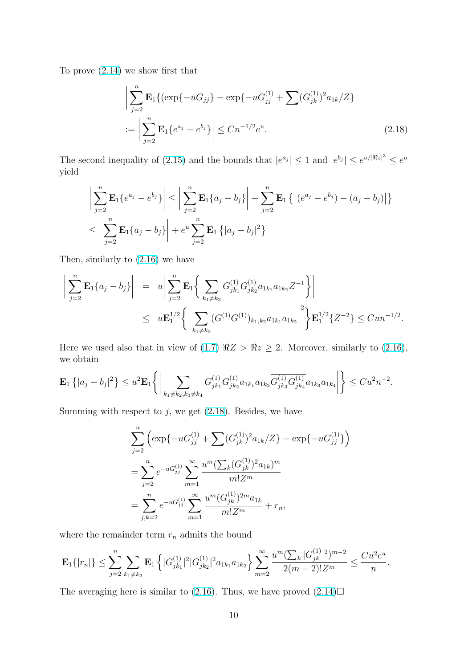To prove (2.14) we show first that

$$
\left| \sum_{j=2}^{n} \mathbf{E}_{1} \{ (\exp\{-uG_{jj}\} - \exp\{-uG_{jj}^{(1)} + \sum (G_{jk}^{(1)})^{2} a_{1k}/Z \} \right|
$$
  
 := 
$$
\left| \sum_{j=2}^{n} \mathbf{E}_{1} \{ e^{a_{j}} - e^{b_{j}} \} \right| \le C n^{-1/2} e^{u}.
$$
 (2.18)

The second inequality of (2.15) and the bounds that  $|e^{a_j}| \leq 1$  and  $|e^{b_j}| \leq e^{u/|\Re z|^3} \leq e^u$ yield

$$
\left| \sum_{j=2}^{n} \mathbf{E}_{1} \{ e^{a_{j}} - e^{b_{j}} \} \right| \leq \left| \sum_{j=2}^{n} \mathbf{E}_{1} \{ a_{j} - b_{j} \} \right| + \sum_{j=2}^{n} \mathbf{E}_{1} \left\{ \left| (e^{a_{j}} - e^{b_{j}}) - (a_{j} - b_{j}) \right| \right\}
$$
  

$$
\leq \left| \sum_{j=2}^{n} \mathbf{E}_{1} \{ a_{j} - b_{j} \} \right| + e^{u} \sum_{j=2}^{n} \mathbf{E}_{1} \left\{ |a_{j} - b_{j}|^{2} \right\}
$$

Then, similarly to (2.16) we have

$$
\left| \sum_{j=2}^{n} \mathbf{E}_{1} \{ a_{j} - b_{j} \} \right| = u \left| \sum_{j=2}^{n} \mathbf{E}_{1} \left\{ \sum_{k_{1} \neq k_{2}} G_{jk_{1}}^{(1)} G_{jk_{2}}^{(1)} a_{1k_{1}} a_{1k_{2}} Z^{-1} \right\} \right|
$$
  
 
$$
\leq u \mathbf{E}_{1}^{1/2} \left\{ \left| \sum_{k_{1} \neq k_{2}} (G^{(1)} G^{(1)})_{k_{1}, k_{2}} a_{1k_{1}} a_{1k_{2}} \right|^{2} \right\} \mathbf{E}_{1}^{1/2} \{ Z^{-2} \} \leq C u n^{-1/2}.
$$

Here we used also that in view of (1.7)  $\Re z > \Re z \ge 2$ . Moreover, similarly to (2.16), we obtain

$$
\mathbf{E}_1\left\{|a_j-b_j|^2\right\} \leq u^2 \mathbf{E}_1\left\{\bigg|\sum_{k_1\neq k_2,k_3\neq k_4} G^{(1)}_{jk_1}G^{(1)}_{jk_2}a_{1k_1}a_{1k_2}\overline{G^{(1)}_{jk_3}G^{(1)}_{jk_4}}a_{1k_3}a_{1k_4}\bigg|\right\} \leq Cu^2n^{-2}.
$$

Summing with respect to  $j$ , we get  $(2.18)$ . Besides, we have

$$
\sum_{j=2}^{n} \left( \exp\{-uG_{jj}^{(1)} + \sum (G_{jk}^{(1)})^2 a_{1k}/Z\} - \exp\{-uG_{jj}^{(1)}\} \right)
$$
  
= 
$$
\sum_{j=2}^{n} e^{-uG_{jj}^{(1)}} \sum_{m=1}^{\infty} \frac{u^m (\sum_k (G_{jk}^{(1)})^2 a_{1k})^m}{m!Z^m}
$$
  
= 
$$
\sum_{j,k=2}^{n} e^{-uG_{jj}^{(1)}} \sum_{m=1}^{\infty} \frac{u^m (G_{jk}^{(1)})^{2m} a_{1k}}{m!Z^m} + r_n,
$$

where the remainder term  $\mathcal{r}_n$  admits the bound

$$
\mathbf{E}_1\{|r_n|\} \leq \sum_{j=2}^n \sum_{k_1 \neq k_2} \mathbf{E}_1\left\{|G_{jk_1}^{(1)}|^2|G_{jk_2}^{(1)}|^2a_{1k_1}a_{1k_2}\right\} \sum_{m=2}^\infty \frac{u^m (\sum_k |G_{jk}^{(1)}|^2)^{m-2}}{2(m-2)!Z^m} \leq \frac{Cu^2e^u}{n}.
$$

The averaging here is similar to (2.16). Thus, we have proved  $(2.14)\square$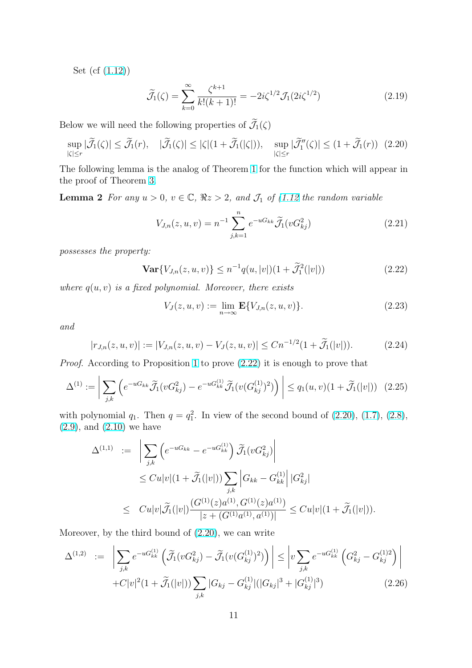<span id="page-10-0"></span>Set (cf (1.12))

$$
\widetilde{\mathcal{J}}_1(\zeta) = \sum_{k=0}^{\infty} \frac{\zeta^{k+1}}{k!(k+1)!} = -2i\zeta^{1/2} \mathcal{J}_1(2i\zeta^{1/2})
$$
\n(2.19)

Below we will need the following properties of  $\widetilde{\mathcal{J}}_1(\zeta)$ 

$$
\sup_{|\zeta| \le r} |\widetilde{\mathcal{J}}_1(\zeta)| \le \widetilde{\mathcal{J}}_1(r), \quad |\widetilde{\mathcal{J}}_1(\zeta)| \le |\zeta|(1 + \widetilde{\mathcal{J}}_1(|\zeta|)), \quad \sup_{|\zeta| \le r} |\widetilde{\mathcal{J}}_1''(\zeta)| \le (1 + \widetilde{\mathcal{J}}_1(r)) \tag{2.20}
$$

The following lemma is the analog of Theorem 1 for the function which will appear in the proof of Theorem 3.

**Lemma 2** For any  $u > 0$ ,  $v \in \mathbb{C}$ ,  $\Re z > 2$ , and  $\mathcal{J}_1$  of (1.12 the random variable

$$
V_{J,n}(z, u, v) = n^{-1} \sum_{j,k=1}^{n} e^{-uG_{kk}} \widetilde{\mathcal{J}}_1(vG_{kj}^2)
$$
 (2.21)

possesses the property:

$$
\mathbf{Var}\{V_{J,n}(z,u,v)\} \le n^{-1}q(u,|v|)(1+\widetilde{\mathcal{J}}_1^2(|v|))
$$
\n(2.22)

where  $q(u, v)$  is a fixed polynomial. Moreover, there exists

$$
V_J(z, u, v) := \lim_{n \to \infty} \mathbf{E}\{V_{J,n}(z, u, v)\}.
$$
 (2.23)

and

$$
|r_{J,n}(z,u,v)| := |V_{J,n}(z,u,v) - V_J(z,u,v)| \le Cn^{-1/2}(1 + \tilde{\mathcal{J}}_1(|v|)). \tag{2.24}
$$

Proof. According to Proposition 1 to prove (2.22) it is enough to prove that

$$
\Delta^{(1)} := \left| \sum_{j,k} \left( e^{-uG_{kk}} \widetilde{\mathcal{J}}_1(vG_{kj}^2) - e^{-uG_{kk}^{(1)}} \widetilde{\mathcal{J}}_1(v(G_{kj}^{(1)})^2) \right) \right| \le q_1(u,v)(1 + \widetilde{\mathcal{J}}_1(|v|)) \tag{2.25}
$$

with polynomial  $q_1$ . Then  $q = q_1^2$ . In view of the second bound of  $(2.20)$ ,  $(1.7)$ ,  $(2.8)$ ,  $(2.9)$ , and  $(2.10)$  we have

$$
\Delta^{(1,1)} := \left| \sum_{j,k} \left( e^{-uG_{kk}} - e^{-uG_{kk}^{(1)}} \right) \widetilde{\mathcal{J}}_1(vG_{kj}^2) \right|
$$
  
\n
$$
\leq C u |v| (1 + \widetilde{\mathcal{J}}_1(|v|)) \sum_{j,k} \left| G_{kk} - G_{kk}^{(1)} \right| |G_{kj}^2|
$$
  
\n
$$
\leq C u |v| \widetilde{\mathcal{J}}_1(|v|) \frac{(G^{(1)}(z)a^{(1)}, G^{(1)}(z)a^{(1)})}{|z + (G^{(1)}a^{(1)}, a^{(1)})|} \leq C u |v| (1 + \widetilde{\mathcal{J}}_1(|v|)).
$$

Moreover, by the third bound of (2.20), we can write

$$
\Delta^{(1,2)} \quad := \quad \bigg| \sum_{j,k} e^{-uG_{kk}^{(1)}} \left( \widetilde{\mathcal{J}}_1(vG_{kj}^2) - \widetilde{\mathcal{J}}_1(v(G_{kj}^{(1)})^2) \right) \bigg| \le \bigg| v \sum_{j,k} e^{-uG_{kk}^{(1)}} \left( G_{kj}^2 - G_{kj}^{(1)2} \right) \bigg| + C|v|^2 (1 + \widetilde{\mathcal{J}}_1(|v|)) \sum_{j,k} |G_{kj} - G_{kj}^{(1)}| (|G_{kj}|^3 + |G_{kj}^{(1)}|^3) \bigg| \tag{2.26}
$$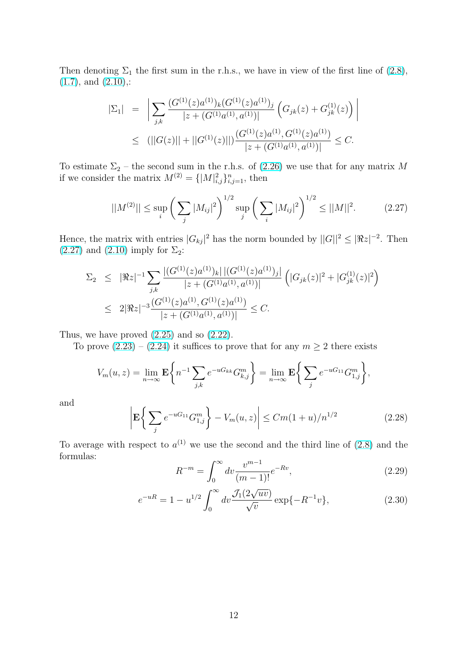<span id="page-11-0"></span>Then denoting  $\Sigma_1$  the first sum in the r.h.s., we have in view of the first line of (2.8),  $(1.7)$ , and  $(2.10)$ ,:

$$
|\Sigma_1| = \left| \sum_{j,k} \frac{(G^{(1)}(z)a^{(1)})_k (G^{(1)}(z)a^{(1)})_j}{|z + (G^{(1)}a^{(1)}, a^{(1)})|} \left( G_{jk}(z) + G_{jk}^{(1)}(z) \right) \right|
$$
  
 
$$
\leq (||G(z)|| + ||G^{(1)}(z)||) \frac{(G^{(1)}(z)a^{(1)}, G^{(1)}(z)a^{(1)})}{|z + (G^{(1)}a^{(1)}, a^{(1)})|} \leq C.
$$

To estimate  $\Sigma_2$  – the second sum in the r.h.s. of (2.26) we use that for any matrix M if we consider the matrix  $M^{(2)} = \{ |M|^2_{i,j} \}_{i,j=1}^n$ , then

$$
||M^{(2)}|| \le \sup_{i} \left( \sum_{j} |M_{ij}|^2 \right)^{1/2} \sup_{j} \left( \sum_{i} |M_{ij}|^2 \right)^{1/2} \le ||M||^2. \tag{2.27}
$$

Hence, the matrix with entries  $|G_{kj}|^2$  has the norm bounded by  $||G||^2 \leq |\Re z|^{-2}$ . Then  $(2.27)$  and  $(2.10)$  imply for  $\Sigma_2$ :

$$
\Sigma_2 \leq |\Re z|^{-1} \sum_{j,k} \frac{|(G^{(1)}(z)a^{(1)})_k| |(G^{(1)}(z)a^{(1)})_j|}{|z + (G^{(1)}a^{(1)}, a^{(1)})|} \left( |G_{jk}(z)|^2 + |G_{jk}^{(1)}(z)|^2 \right)
$$
  

$$
\leq 2|\Re z|^{-3} \frac{(G^{(1)}(z)a^{(1)}, G^{(1)}(z)a^{(1)})}{|z + (G^{(1)}a^{(1)}, a^{(1)})|} \leq C.
$$

Thus, we have proved (2.25) and so (2.22).

To prove  $(2.23) - (2.24)$  it suffices to prove that for any  $m \geq 2$  there exists

$$
V_m(u, z) = \lim_{n \to \infty} \mathbf{E} \left\{ n^{-1} \sum_{j,k} e^{-uG_{kk}} G_{k,j}^m \right\} = \lim_{n \to \infty} \mathbf{E} \left\{ \sum_j e^{-uG_{11}} G_{1,j}^m \right\},
$$

and

$$
\left| \mathbf{E} \left\{ \sum_{j} e^{-uG_{11}} G_{1,j}^{m} \right\} - V_m(u, z) \right| \leq C m (1+u)/n^{1/2}
$$
 (2.28)

To average with respect to  $a^{(1)}$  we use the second and the third line of (2.8) and the formulas:  $r^{\infty}$ 

$$
R^{-m} = \int_0^\infty dv \frac{v^{m-1}}{(m-1)!} e^{-Rv},\tag{2.29}
$$

$$
e^{-uR} = 1 - u^{1/2} \int_0^\infty dv \frac{\mathcal{J}_1(2\sqrt{uv})}{\sqrt{v}} \exp\{-R^{-1}v\},\tag{2.30}
$$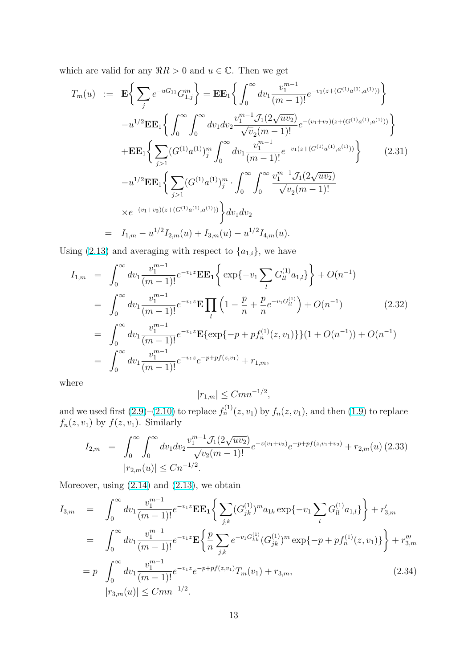<span id="page-12-0"></span>which are valid for any  $\Re R > 0$  and  $u \in \mathbb{C}$ . Then we get

$$
T_m(u) := \mathbf{E} \Bigg\{ \sum_j e^{-uG_{11}} G_{1,j}^m \Bigg\} = \mathbf{E} \mathbf{E}_1 \Bigg\{ \int_0^\infty dv_1 \frac{v_1^{m-1}}{(m-1)!} e^{-v_1(z + (G^{(1)}a^{(1)}, a^{(1)}))} \Bigg\} - u^{1/2} \mathbf{E} \mathbf{E}_1 \Bigg\{ \int_0^\infty \int_0^\infty dv_1 dv_2 \frac{v_1^{m-1} \mathcal{J}_1(2\sqrt{uv_2})}{\sqrt{v_2(m-1)!}} e^{-(v_1+v_2)(z + (G^{(1)}a^{(1)}, a^{(1)}))} \Bigg\} + \mathbf{E} \mathbf{E}_1 \Bigg\{ \sum_{j>1} (G^{(1)}a^{(1)})_j^m \int_0^\infty dv_1 \frac{v_1^{m-1}}{(m-1)!} e^{-v_1(z + (G^{(1)}a^{(1)}, a^{(1)}))} \Bigg\} - u^{1/2} \mathbf{E} \mathbf{E}_1 \Bigg\{ \sum_{j>1} (G^{(1)}a^{(1)})_j^m \cdot \int_0^\infty \int_0^\infty \frac{v_1^{m-1} \mathcal{J}_1(2\sqrt{uv_2})}{\sqrt{v_2(m-1)!}} \times e^{-(v_1+v_2)(z + (G^{(1)}a^{(1)}, a^{(1)}))} \Bigg\} dv_1 dv_2 = I_{1,m} - u^{1/2} I_{2,m}(u) + I_{3,m}(u) - u^{1/2} I_{4,m}(u).
$$
\n
$$
(2.31)
$$

Using (2.13) and averaging with respect to  ${a_{1,i}}$ , we have

$$
I_{1,m} = \int_0^{\infty} dv_1 \frac{v_1^{m-1}}{(m-1)!} e^{-v_1 z} \mathbf{E} \mathbf{E}_1 \Big\{ \exp\{-v_1 \sum_l G_{ll}^{(1)} a_{1,l}\} \Big\} + O(n^{-1})
$$
  
\n
$$
= \int_0^{\infty} dv_1 \frac{v_1^{m-1}}{(m-1)!} e^{-v_1 z} \mathbf{E} \prod_l \left(1 - \frac{p}{n} + \frac{p}{n} e^{-v_1 G_{ll}^{(1)}}\right) + O(n^{-1})
$$
(2.32)  
\n
$$
= \int_0^{\infty} dv_1 \frac{v_1^{m-1}}{(m-1)!} e^{-v_1 z} \mathbf{E} \{ \exp\{-p + pf_n^{(1)}(z, v_1) \} \} (1 + O(n^{-1})) + O(n^{-1})
$$
  
\n
$$
= \int_0^{\infty} dv_1 \frac{v_1^{m-1}}{(m-1)!} e^{-v_1 z} e^{-p + pf(z, v_1)} + r_{1,m},
$$

where

$$
|r_{1,m}| \leq Cmn^{-1/2},
$$

and we used first  $(2.9)$ – $(2.10)$  to replace  $f_n^{(1)}(z, v_1)$  by  $f_n(z, v_1)$ , and then  $(1.9)$  to replace  $f_n(z, v_1)$  by  $f(z, v_1)$ . Similarly

$$
I_{2,m} = \int_0^{\infty} \int_0^{\infty} dv_1 dv_2 \frac{v_1^{m-1} \mathcal{J}_1(2\sqrt{uv_2})}{\sqrt{v_2}(m-1)!} e^{-z(v_1+v_2)} e^{-p+pf(z,v_1+v_2)} + r_{2,m}(u) (2.33)
$$
  

$$
|r_{2,m}(u)| \le Cn^{-1/2}.
$$

Moreover, using  $(2.14)$  and  $(2.13)$ , we obtain

$$
I_{3,m} = \int_0^{\infty} dv_1 \frac{v_1^{m-1}}{(m-1)!} e^{-v_1 z} \mathbf{E} \mathbf{E}_1 \Big\{ \sum_{j,k} (G_{jk}^{(1)})^m a_{1k} \exp\{-v_1 \sum_l G_{ll}^{(1)} a_{1,l} \} \Big\} + r'_{3,m}
$$
  
\n
$$
= \int_0^{\infty} dv_1 \frac{v_1^{m-1}}{(m-1)!} e^{-v_1 z} \mathbf{E} \Big\{ \frac{p}{n} \sum_{j,k} e^{-v_1 G_{kk}^{(1)}} (G_{jk}^{(1)})^m \exp\{-p + pf_n^{(1)}(z, v_1) \} \Big\} + r''_{3,m}
$$
  
\n
$$
= p \int_0^{\infty} dv_1 \frac{v_1^{m-1}}{(m-1)!} e^{-v_1 z} e^{-p + pf(z, v_1)} T_m(v_1) + r_{3,m}, \qquad (2.34)
$$
  
\n
$$
|r_{3,m}(u)| \leq C m n^{-1/2}.
$$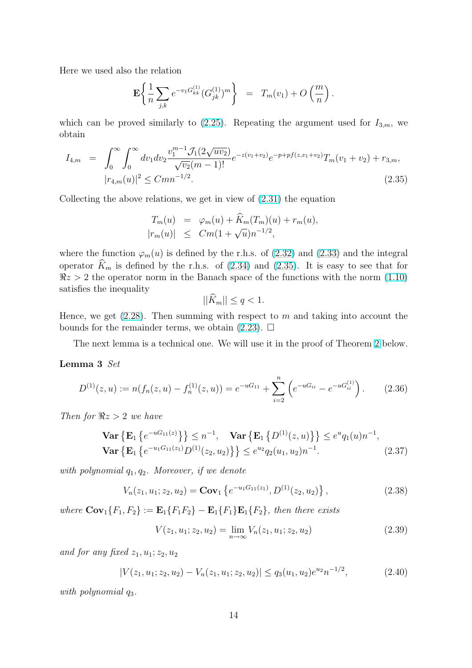<span id="page-13-0"></span>Here we used also the relation

$$
\mathbf{E}\left\{\frac{1}{n}\sum_{j,k}e^{-v_1G_{kk}^{(1)}}(G_{jk}^{(1)})^m\right\} = T_m(v_1) + O\left(\frac{m}{n}\right).
$$

which can be proved similarly to  $(2.25)$ . Repeating the argument used for  $I_{3,m}$ , we obtain

$$
I_{4,m} = \int_0^{\infty} \int_0^{\infty} dv_1 dv_2 \frac{v_1^{m-1} \mathcal{J}_1(2\sqrt{uv_2})}{\sqrt{v_2}(m-1)!} e^{-z(v_1+v_2)} e^{-p+pf(z,v_1+v_2)} T_m(v_1+v_2) + r_{3,m},
$$
  
\n
$$
|r_{4,m}(u)|^2 \leq C m n^{-1/2}.
$$
\n(2.35)

Collecting the above relations, we get in view of (2.31) the equation

$$
T_m(u) = \varphi_m(u) + \widehat{K}_m(T_m)(u) + r_m(u),
$$
  
\n
$$
|r_m(u)| \leq Cm(1+\sqrt{u})n^{-1/2},
$$

where the function  $\varphi_m(u)$  is defined by the r.h.s. of (2.32) and (2.33) and the integral operator  $\widehat{K}_m$  is defined by the r.h.s. of (2.34) and (2.35). It is easy to see that for  $\Re z > 2$  the operator norm in the Banach space of the functions with the norm (1.10) satisfies the inequality

$$
||\widehat{K}_m|| \le q < 1.
$$

Hence, we get  $(2.28)$ . Then summing with respect to m and taking into accou[nt the](#page-2-0) bounds for the remainder terms, we obtain  $(2.23)$ .  $\Box$ 

The next lemma is a technical one. We will use it in the proof of Theorem 2 below.

#### Lemma 3 Set

$$
D^{(1)}(z, u) := n(f_n(z, u) - f_n^{(1)}(z, u)) = e^{-uG_{11}} + \sum_{i=2}^n \left( e^{-uG_{ii}} - e^{-uG_{ii}^{(1)}} \right).
$$
 (2.36)

Then for  $\Re z > 2$  we have

$$
\mathbf{Var}\left\{\mathbf{E}_{1}\left\{e^{-uG_{11}(z)}\right\}\right\} \leq n^{-1}, \quad \mathbf{Var}\left\{\mathbf{E}_{1}\left\{D^{(1)}(z,u)\right\}\right\} \leq e^{u}q_{1}(u)n^{-1},
$$
\n
$$
\mathbf{Var}\left\{\mathbf{E}_{1}\left\{e^{-u_{1}G_{11}(z_{1})}D^{(1)}(z_{2},u_{2})\right\}\right\} \leq e^{u_{2}}q_{2}(u_{1},u_{2})n^{-1}.
$$
\n(2.37)

with polynomial  $q_1, q_2$ . Moreover, if we denote

$$
V_n(z_1, u_1; z_2, u_2) = \mathbf{Cov}_1\left\{e^{-u_1 G_{11}(z_1)}, D^{(1)}(z_2, u_2)\right\},\tag{2.38}
$$

where  $\mathbf{Cov}_1\{F_1, F_2\} := \mathbf{E}_1\{F_1F_2\} - \mathbf{E}_1\{F_1\}\mathbf{E}_1\{F_2\}$ , then there exists

$$
V(z_1, u_1; z_2, u_2) = \lim_{n \to \infty} V_n(z_1, u_1; z_2, u_2)
$$
\n(2.39)

and for any fixed  $z_1, u_1; z_2, u_2$ 

$$
|V(z_1, u_1; z_2, u_2) - V_n(z_1, u_1; z_2, u_2)| \le q_3(u_1, u_2) e^{u_2} n^{-1/2}, \tag{2.40}
$$

with polynomial  $q_3$ .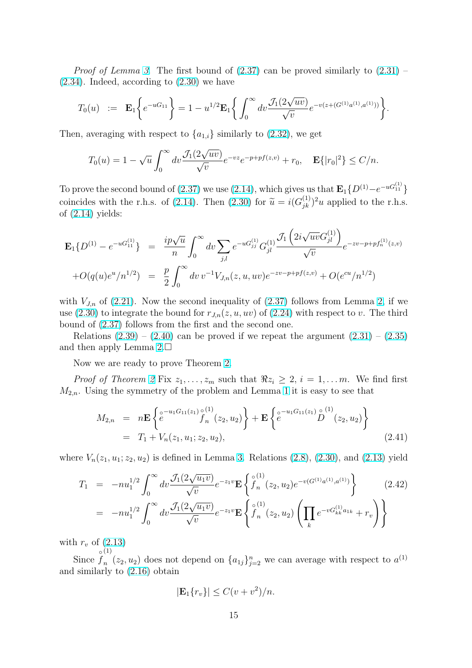*Proof of Lemma 3.* The first bound of  $(2.37)$  can be proved similarly to  $(2.31)$  – (2.34). Indeed, according to (2.30) we have

$$
T_0(u) \ := \ \mathbf{E}_1\bigg\{e^{-uG_{11}}\bigg\} = 1 - u^{1/2}\mathbf{E}_1\bigg\{\int_0^\infty dv\frac{\mathcal{J}_1(2\sqrt{uv})}{\sqrt{v}}e^{-v(z + (G^{(1)}a^{(1)},a^{(1)}))}\bigg\}.
$$

Then, averaging with respect to  ${a_{1,i}}$  similarly to (2.32), we get

$$
T_0(u) = 1 - \sqrt{u} \int_0^{\infty} dv \frac{\mathcal{J}_1(2\sqrt{uv})}{\sqrt{v}} e^{-vz} e^{-p + pf(z,v)} + r_0, \quad \mathbf{E}\{|r_0|^2\} \le C/n.
$$

To prove the second bound of (2.37) we use (2.14), which gives us that  $\mathbf{E}_{1} \{D^{(1)} - e^{-uG_{11}^{(1)}}\}$ coincides with the r.h.s. of (2.14). Then (2.30) for  $\tilde{u} = i(G_{jk}^{(1)})^2 u$  applied to the r.h.s. of  $(2.14)$  yields:

$$
\mathbf{E}_{1}\lbrace D^{(1)} - e^{-uG_{11}^{(1)}} \rbrace = \frac{ip\sqrt{u}}{n} \int_{0}^{\infty} dv \sum_{j,l} e^{-uG_{jj}^{(1)}} G_{jl}^{(1)} \frac{\mathcal{J}_{1}\left(2i\sqrt{uv}G_{jl}^{(1)}\right)}{\sqrt{v}} e^{-zv-p+pf_{n}^{(1)}(z,v)} \n+ O(q(u)e^{u}/n^{1/2}) = \frac{p}{2} \int_{0}^{\infty} dv \, v^{-1} V_{J,n}(z, u, uv) e^{-zv-p+pf(z,v)} + O(e^{cu}/n^{1/2})
$$

with  $V_{J,n}$  of (2.21). Now the second inequality of (2.37) follows from Lemma 2, if we use (2.30) to integrate the bound for  $r_{J,n}(z, u, uv)$  of (2.24) with respect to v. The third bound of (2.37) follows from the first and the second one.

Relations  $(2.39) - (2.40)$  can be proved if we r[epeat](#page-13-0) the argument  $(2.31) - (2.35)$ and [then](#page-11-0) apply Lemma  $2.\Box$ 

Now w[e are](#page-13-0) ready to prove Theorem 2.

*Proof of T[heore](#page-13-0)m 2* [Fix](#page-13-0)  $z_1, \ldots, z_m$  such that  $\Re z_i \geq 2, i = 1, \ldots m$ . [We](#page-12-0) fin[d first](#page-13-0)  $M_{2,n}$ . Using the symme[try](#page-10-0) of the problem and Lemma 1 it is easy to see that

$$
M_{2,n} = n\mathbf{E} \left\{ e^{-u_1 G_{11}(z_1) \circ (1) \atop{} 0} f_n(z_2, u_2) \right\} + \mathbf{E} \left\{ e^{-u_1 G_{11}(z_1) \circ (1) \atop{} 0} D'(z_2, u_2) \right\}
$$
  
=  $T_1 + V_n(z_1, u_1; z_2, u_2),$  (2.41)

where  $V_n(z_1, u_1; z_2, u_2)$  is defined in Lemma 3. Relations (2.8), (2.30), and (2.13) yield

$$
T_1 = -nu_1^{1/2} \int_0^\infty dv \frac{\mathcal{J}_1(2\sqrt{u_1 v})}{\sqrt{v}} e^{-z_1 v} \mathbf{E} \left\{ \int_0^{\circ(1)} (z_2, u_2) e^{-v(G^{(1)} a^{(1)}, a^{(1)})} \right\} = -nu_1^{1/2} \int_0^\infty dv \frac{\mathcal{J}_1(2\sqrt{u_1 v})}{\sqrt{v}} e^{-z_1 v} \mathbf{E} \left\{ \int_0^{\circ(1)} (z_2, u_2) \left( \prod_k e^{-vG^{(1)}_{kk} a_{1k}} + r_v \right) \right\}
$$
(2.42)

with  $r_v$  of  $(2.13)$ 

Since  $f_n(x_2, u_2)$  does not depend on  $\{a_{1j}\}_{j=2}^n$  we can average with respect to  $a^{(1)}$  $\circ$   $(1)$ and similarly to (2.16) obtain

$$
|\mathbf{E}_1\{r_v\}| \le C(v+v^2)/n.
$$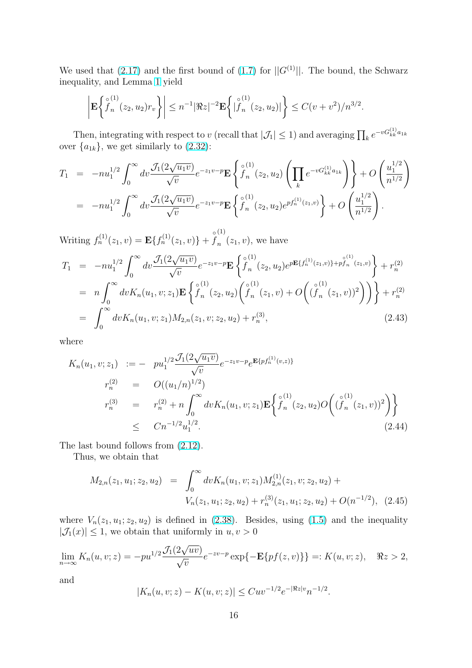<span id="page-15-0"></span>We used that (2.17) and the first bound of (1.7) for  $||G^{(1)}||$ . The bound, the Schwarz inequality, and Lemma 1 yield

$$
\left| \mathbf{E} \left\{ \overset{\circ}{f}_{n}^{(1)}(z_2, u_2) r_v \right\} \right| \leq n^{-1} |\Re z|^{-2} \mathbf{E} \left\{ |\overset{\circ}{f}_{n}^{(1)}(z_2, u_2)| \right\} \leq C(\nu + \nu^2)/n^{3/2}.
$$

Then, integrating with respect to v (recall that  $|\mathcal{J}_1| \leq 1$ ) and averaging  $\prod_k e^{-vG_{kk}^{(1)}a_{1k}}$ over  ${a_{1k}}$ , we get similarly to  $(2.32)$ :

$$
T_1 = -nu_1^{1/2} \int_0^\infty dv \frac{\mathcal{J}_1(2\sqrt{u_1v})}{\sqrt{v}} e^{-z_1v-p} \mathbf{E} \left\{ \int_0^{\circ(1)} (z_2, u_2) \left( \prod_k e^{-vG_{kk}^{(1)}a_{1k}} \right) \right\} + O\left(\frac{u_1^{1/2}}{n^{1/2}}\right)
$$
  
=  $-nu_1^{1/2} \int_0^\infty dv \frac{\mathcal{J}_1(2\sqrt{u_1v})}{\sqrt{v}} e^{-z_1v-p} \mathbf{E} \left\{ \int_0^{\circ(1)} (z_2, u_2) e^{pf_n^{(1)}(z_1, v)} \right\} + O\left(\frac{u_1^{1/2}}{n^{1/2}}\right).$ 

Writing  $f_n^{(1)}(z_1, v) = \mathbf{E}\{f_n^{(1)}(z_1, v)\} + \mathring{f}$ (1)  $_n$   $(z_1, v)$ , we have

$$
T_{1} = -nu_{1}^{1/2} \int_{0}^{\infty} dv \frac{\mathcal{J}_{1}(2\sqrt{u_{1}v})}{\sqrt{v}} e^{-z_{1}v-p} \mathbf{E} \left\{ \overset{\circ}{f}_{n}(z_{2}, u_{2}) e^{p\mathbf{E}\{f_{n}^{(1)}(z_{1}, v)\} + p_{f_{n}}^{\circ(1)}(z_{1}, v)} \right\} + r_{n}^{(2)}
$$
  
\n
$$
= n \int_{0}^{\infty} dv K_{n}(u_{1}, v; z_{1}) \mathbf{E} \left\{ \overset{\circ}{f}_{n}(z_{2}, u_{2}) \left( \overset{\circ}{f}_{n}(z_{1}, v) + O \left( (\overset{\circ}{f}_{n}(z_{1}, v))^{2} \right) \right) \right\} + r_{n}^{(2)}
$$
  
\n
$$
= \int_{0}^{\infty} dv K_{n}(u_{1}, v; z_{1}) M_{2,n}(z_{1}, v; z_{2}, u_{2}) + r_{n}^{(3)}, \qquad (2.43)
$$

where

$$
K_n(u_1, v; z_1) := -pu_1^{1/2} \frac{\mathcal{J}_1(2\sqrt{u_1 v})}{\sqrt{v}} e^{-z_1 v - p} e^{\mathbf{E}\{pf_n^{(1)}(v,z)\}}
$$
  
\n
$$
r_n^{(2)} = O((u_1/n)^{1/2})
$$
  
\n
$$
r_n^{(3)} = r_n^{(2)} + n \int_0^\infty dv K_n(u_1, v; z_1) \mathbf{E}\left\{ \int_0^{c_1(1)} (z_2, u_2) O\left((\int_0^{c_2(1)} (z_1, v))^2\right) \right\}
$$
  
\n
$$
\leq C n^{-1/2} u_1^{1/2}.
$$
\n(2.44)

The last bound follows from (2.12).

Thus, we obtain that

$$
M_{2,n}(z_1, u_1; z_2, u_2) = \int_0^\infty dv K_n(u_1, v; z_1) M_{2,n}^{(1)}(z_1, v; z_2, u_2) + V_n(z_1, u_1; z_2, u_2) + r_n^{(3)}(z_1, u_1; z_2, u_2) + O(n^{-1/2}), \quad (2.45)
$$

where  $V_n(z_1, u_1; z_2, u_2)$  is defined in (2.38). Besides, using (1.5) and the inequality  $|\mathcal{J}_1(x)| \leq 1$ , we obtain that uniformly in  $u, v > 0$ 

$$
\lim_{n \to \infty} K_n(u, v; z) = -pu^{1/2} \frac{\mathcal{J}_1(2\sqrt{uv})}{\sqrt{v}} e^{-zv - p} \exp\{-\mathbf{E}\{pf(z, v)\}\} =: K(u, v; z), \quad \Re z > 2,
$$

and

$$
|K_n(u, v; z) - K(u, v; z)| \leq Cuv^{-1/2} e^{-|\Re z|v} n^{-1/2}.
$$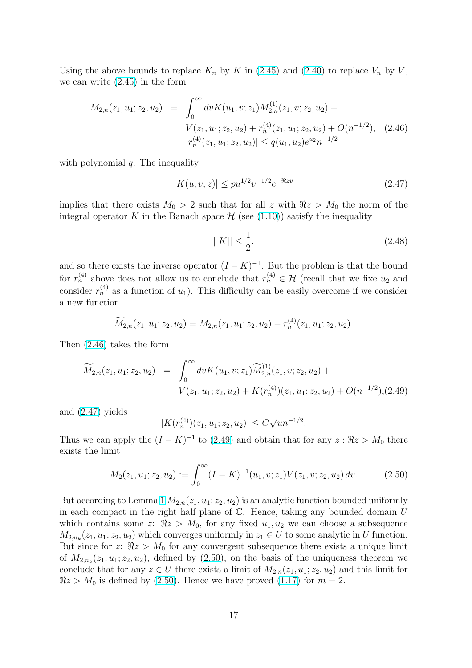<span id="page-16-0"></span>Using the above bounds to replace  $K_n$  by K in (2.45) and (2.40) to replace  $V_n$  by V, we can write (2.45) in the form

$$
M_{2,n}(z_1, u_1; z_2, u_2) = \int_0^\infty dv K(u_1, v; z_1) M_{2,n}^{(1)}(z_1, v; z_2, u_2) + V(z_1, u_1; z_2, u_2) + r_n^{(4)}(z_1, u_1; z_2, u_2) + O(n^{-1/2}), \quad (2.46)
$$
  

$$
|r_n^{(4)}(z_1, u_1; z_2, u_2)| \le q(u_1, u_2)e^{u_2}n^{-1/2}
$$

with polynomial  $q$ . The inequality

$$
|K(u, v; z)| \le pu^{1/2} v^{-1/2} e^{-\Re z v} \tag{2.47}
$$

implies that there exists  $M_0 > 2$  such that for all z with  $\Re z > M_0$  the norm of the integral operator K in the Banach space  $\mathcal H$  (see (1.10)) satisfy the inequality

$$
||K|| \le \frac{1}{2}.\tag{2.48}
$$

and so there exists the inverse operator  $(I - K)^{-1}$ . But the problem is that the bound for  $r_n^{(4)}$  above does not allow us to conclude that  $r_n^{(4)} \in \mathcal{H}$  (recall that we fixe  $u_2$  and consider  $r_n^{(4)}$  as a function of  $u_1$ ). This difficulty can be easily overcome if we consider a new function

$$
\widetilde{M}_{2,n}(z_1,u_1; z_2,u_2) = M_{2,n}(z_1,u_1; z_2,u_2) - r_n^{(4)}(z_1,u_1; z_2,u_2).
$$

Then (2.46) takes the form

$$
\widetilde{M}_{2,n}(z_1, u_1; z_2, u_2) = \int_0^\infty dv K(u_1, v; z_1) \widetilde{M}_{2,n}^{(1)}(z_1, v; z_2, u_2) + V(z_1, u_1; z_2, u_2) + K(r_n^{(4)})(z_1, u_1; z_2, u_2) + O(n^{-1/2}), (2.49)
$$

and (2.47) yields

$$
|K(r_n^{(4)})(z_1, u_1; z_2, u_2)| \le C\sqrt{u}n^{-1/2}.
$$

Thus we can apply the  $(I - K)^{-1}$  to  $(2.49)$  and obtain that for any  $z : \Re z > M_0$  there exists the limit

$$
M_2(z_1, u_1; z_2, u_2) := \int_0^\infty (I - K)^{-1}(u_1, v; z_1) V(z_1, v; z_2, u_2) dv.
$$
 (2.50)

But according to Lemma 1  $M_{2,n}(z_1, u_1; z_2, u_2)$  is an analytic function bounded uniformly in each compact in the right half plane of  $\mathbb C$ . Hence, taking any bounded domain  $U$ which contains some z:  $\Re z > M_0$ , for any fixed  $u_1, u_2$  we can choose a subsequence  $M_{2,n_k}(z_1, u_1; z_2, u_2)$  whic[h c](#page-6-0)onverges uniformly in  $z_1 \in U$  to some analytic in U function. But since for z:  $\Re z > M_0$  for any convergent subsequence there exists a unique limit of  $M_{2,n_k}(z_1, u_1; z_2, u_2)$ , defined by  $(2.50)$ , on the basis of the uniqueness theorem we conclude that for any  $z \in U$  there exists a limit of  $M_{2,n}(z_1, u_1; z_2, u_2)$  and this limit for  $\Re z > M_0$  is defined by (2.50). Hence we have proved (1.17) for  $m = 2$ .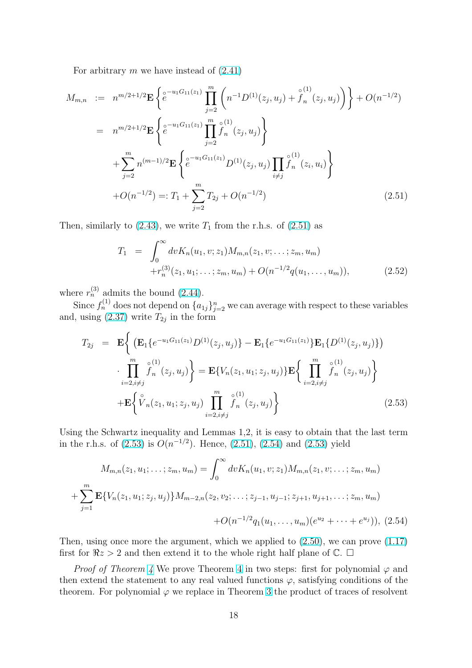For arbitrary m we have instead of  $(2.41)$ 

$$
M_{m,n} := n^{m/2+1/2} \mathbf{E} \left\{ e^{-u_1 G_{11}(z_1)} \prod_{j=2}^m \left( n^{-1} D^{(1)}(z_j, u_j) + \hat{f}_n^{(1)}(z_j, u_j) \right) \right\} + O(n^{-1/2})
$$
  
\n
$$
= n^{m/2+1/2} \mathbf{E} \left\{ e^{-u_1 G_{11}(z_1)} \prod_{j=2}^m \hat{f}_n^{(1)}(z_j, u_j) \right\}
$$
  
\n
$$
+ \sum_{j=2}^m n^{(m-1)/2} \mathbf{E} \left\{ e^{-u_1 G_{11}(z_1)} D^{(1)}(z_j, u_j) \prod_{i \neq j} \hat{f}_n^{(1)}(z_i, u_i) \right\}
$$
  
\n
$$
+ O(n^{-1/2}) =: T_1 + \sum_{j=2}^m T_{2j} + O(n^{-1/2})
$$
\n(2.51)

Then, similarly to  $(2.43)$ , we write  $T_1$  from the r.h.s. of  $(2.51)$  as

$$
T_1 = \int_0^\infty dv K_n(u_1, v; z_1) M_{m,n}(z_1, v; \dots; z_m, u_m)
$$
  
+
$$
r_n^{(3)}(z_1, u_1; \dots; z_m, u_m) + O(n^{-1/2}q(u_1, \dots, u_m)),
$$
 (2.52)

where  $r_n^{(3)}$  admits the bound (2.44).

Since  $f_n^{(1)}$  does not depend on  $\{a_{1j}\}_{j=2}^n$  we can average with respect to these variables and, using  $(2.37)$  write  $T_{2j}$  in the form

$$
T_{2j} = \mathbf{E} \Biggl\{ \bigl( \mathbf{E}_1 \{ e^{-u_1 G_{11}(z_1)} D^{(1)}(z_j, u_j) \} - \mathbf{E}_1 \{ e^{-u_1 G_{11}(z_1)} \} \mathbf{E}_1 \{ D^{(1)}(z_j, u_j) \} \bigr) \n\cdot \prod_{i=2, i \neq j}^{m} \int_{n}^{\circ(1)} (z_j, u_j) \Biggr\} = \mathbf{E} \{ V_n(z_1, u_1; z_j, u_j) \} \mathbf{E} \Biggl\{ \prod_{i=2, i \neq j}^{m} \int_{n}^{\circ(1)} (z_j, u_j) \Biggr\} \n+ \mathbf{E} \Biggl\{ \tilde{V}_n(z_1, u_1; z_j, u_j) \prod_{i=2, i \neq j}^{m} \int_{n}^{\circ(1)} (z_j, u_j) \Biggr\}
$$
\n(2.53)

Using the Schwartz inequality and Lemmas 1,2, it is easy to obtain that the last term in the r.h.s. of  $(2.53)$  is  $O(n^{-1/2})$ . Hence,  $(2.51)$ ,  $(2.54)$  and  $(2.53)$  yield

$$
M_{m,n}(z_1, u_1; \dots; z_m, u_m) = \int_0^\infty dv K_n(u_1, v; z_1) M_{m,n}(z_1, v; \dots; z_m, u_m)
$$
  
+ 
$$
\sum_{j=1}^m \mathbf{E} \{ V_n(z_1, u_1; z_j, u_j) \} M_{m-2,n}(z_2, v_2; \dots; z_{j-1}, u_{j-1}; z_{j+1}, u_{j+1}, \dots; z_m, u_m)
$$
  
+ 
$$
O(n^{-1/2} q_1(u_1, \dots, u_m) (e^{u_2} + \dots + e^{u_j})),
$$
 (2.54)

Then, using once more the argument, which we applied to (2.50), we can prove (1.17) first for  $\Re z > 2$  and then extend it to the whole right half plane of  $\mathbb{C}. \square$ 

*Proof of Theorem 4* We prove Theorem 4 in two steps: first for polynomial  $\varphi$  and thenextend the statement to any real valued functions  $\varphi$ , s[atisfy](#page-16-0)ing conditions [of the](#page-4-0) theorem. For polynomial  $\varphi$  we replace in Theorem 3 the product of traces of resolvent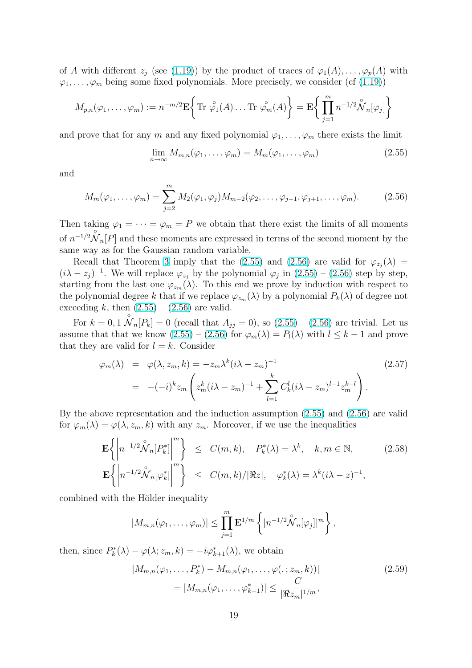<span id="page-18-0"></span>of A with different  $z_i$  (see (1.19)) by the product of traces of  $\varphi_1(A), \ldots, \varphi_p(A)$  with  $\varphi_1, \ldots, \varphi_m$  being some fixed polynomials. More precisely, we consider (cf (1.19))

$$
M_{p,n}(\varphi_1,\ldots,\varphi_m):=n^{-m/2}\mathbf{E}\bigg\{\text{Tr}\stackrel{\circ}{\varphi_1}(A)\ldots\text{Tr}\stackrel{\circ}{\varphi_m}(A)\bigg\}=\mathbf{E}\bigg\{\prod_{j=1}^m n^{-1/2}\stackrel{\circ}{\mathcal{N}}_n[\varphi_j]\bigg\}
$$

and prove that for any m and any fixed polynomial  $\varphi_1, \ldots, \varphi_m$  there exists the limit

$$
\lim_{n \to \infty} M_{m,n}(\varphi_1, \dots, \varphi_m) = M_m(\varphi_1, \dots, \varphi_m)
$$
\n(2.55)

and

$$
M_m(\varphi_1,\ldots,\varphi_m)=\sum_{j=2}^m M_2(\varphi_1,\varphi_j)M_{m-2}(\varphi_2,\ldots,\varphi_{j-1},\varphi_{j+1},\ldots,\varphi_m). \hspace{1cm} (2.56)
$$

Then taking  $\varphi_1 = \cdots = \varphi_m = P$  we obtain that there exist the limits of all moments of  $n^{-1/2} \overset{\circ}{\mathcal{N}}_n[P]$  and these moments are expressed in terms of the second moment by the same way as for the Gaussian random variable.

Recall that Theorem 3 imply that the (2.55) and (2.56) are valid for  $\varphi_{z_j}(\lambda) =$  $(i\lambda - z_j)^{-1}$ . We will replace  $\varphi_{z_j}$  by the polynomial  $\varphi_j$  in  $(2.55) - (2.56)$  step by step, starting from the last one  $\varphi_{z_m}(\lambda)$ . To this end we prove by induction with respect to the polynomial degree k t[ha](#page-4-0)t if we replace  $\varphi_{z_m}(\lambda)$  by a polynomial  $P_k(\lambda)$  of degree not exceeding k, then  $(2.55) - (2.56)$  are valid.

For  $k = 0, 1$   $\overset{\circ}{\mathcal{N}}_n[P_k] = 0$  (recall that  $A_{jj} = 0$ ), so  $(2.55) - (2.56)$  are trivial. Let us assume that that we know  $(2.55) - (2.56)$  for  $\varphi_m(\lambda) = P_l(\lambda)$  with  $l \leq k-1$  and prove that they are valid for  $l = k$ . Consider

$$
\varphi_m(\lambda) = \varphi(\lambda, z_m, k) = -z_m \lambda^k (i\lambda - z_m)^{-1}
$$
\n
$$
= -(-i)^k z_m \left( z_m^k (i\lambda - z_m)^{-1} + \sum_{l=1}^k C_k^l (i\lambda - z_m)^{l-1} z_m^{k-l} \right).
$$
\n(2.57)

By the above representation and the induction assumption (2.55) and (2.56) are valid for  $\varphi_m(\lambda) = \varphi(\lambda, z_m, k)$  with any  $z_m$ . Moreover, if we use the inequalities

$$
\mathbf{E}\left\{\left|n^{-1/2}\overset{\circ}{\mathcal{N}}_{n}[P_{k}^{*}]\right|^{m}\right\} \leq C(m,k), \quad P_{k}^{*}(\lambda) = \lambda^{k}, \quad k, m \in \mathbb{N},
$$
\n
$$
\mathbf{E}\left\{\left|n^{-1/2}\overset{\circ}{\mathcal{N}}_{n}[\varphi_{k}^{*}]\right|^{m}\right\} \leq C(m,k)/|\Re z|, \quad \varphi_{k}^{*}(\lambda) = \lambda^{k}(i\lambda - z)^{-1},
$$
\n(2.58)

combined with the Hölder inequality

$$
|M_{m,n}(\varphi_1,\ldots,\varphi_m)| \leq \prod_{j=1}^m \mathbf{E}^{1/m} \left\{ |n^{-1/2} \mathcal{N}_n[\varphi_j]|^m \right\},\,
$$

then, since  $P_k^*(\lambda) - \varphi(\lambda; z_m, k) = -i\varphi_{k+1}^*(\lambda)$ , we obtain

$$
|M_{m,n}(\varphi_1, \dots, P_k^*) - M_{m,n}(\varphi_1, \dots, \varphi(.; z_m, k))|
$$
  
=  $|M_{m,n}(\varphi_1, \dots, \varphi_{k+1}^*)| \le \frac{C}{|\Re z_m|^{1/m}},$  (2.59)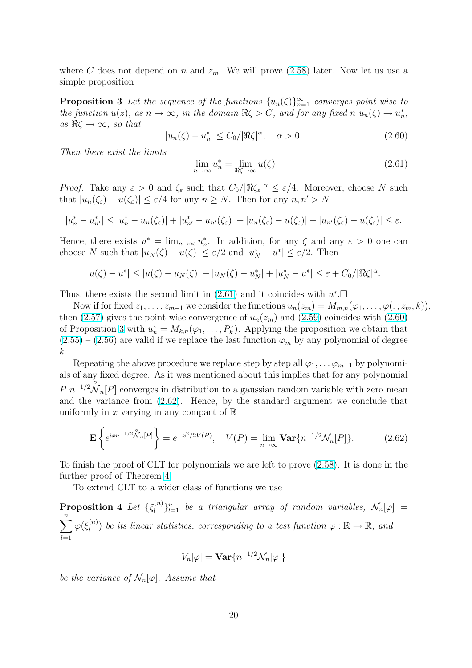<span id="page-19-0"></span>where C does not depend on n and  $z_m$ . We will prove (2.58) later. Now let us use a simple proposition

**Proposition 3** Let the sequence of the functions  $\{u_n(\zeta)\}_{n=1}^{\infty}$  converges point-wise to the function  $u(z)$ , as  $n \to \infty$ , in the domain  $\Re \zeta > C$ , an[d for](#page-18-0) any fixed  $n u_n(\zeta) \to u_n^*$ , as  $\Re \zeta \to \infty$ , so that

$$
|u_n(\zeta) - u_n^*| \le C_0 / |\Re \zeta|^\alpha, \quad \alpha > 0.
$$
 (2.60)

Then there exist the limits

$$
\lim_{n \to \infty} u_n^* = \lim_{\Re \zeta \to \infty} u(\zeta) \tag{2.61}
$$

*Proof.* Take any  $\varepsilon > 0$  and  $\zeta_{\varepsilon}$  such that  $C_0/|\Re \zeta_{\varepsilon}|^{\alpha} \leq \varepsilon/4$ . Moreover, choose N such that  $|u_n(\zeta_\varepsilon) - u(\zeta_\varepsilon)| \leq \varepsilon/4$  for any  $n \geq N$ . Then for any  $n, n' > N$ 

$$
|u_n^*-u_{n'}^*|\leq |u_n^*-u_n(\zeta_{\varepsilon})|+|u_{n'}^*-u_{n'}(\zeta_{\varepsilon})|+|u_n(\zeta_{\varepsilon})-u(\zeta_{\varepsilon})|+|u_{n'}(\zeta_{\varepsilon})-u(\zeta_{\varepsilon})|\leq \varepsilon.
$$

Hence, there exists  $u^* = \lim_{n \to \infty} u_n^*$ . In addition, for any  $\zeta$  and any  $\varepsilon > 0$  one can choose N such that  $|u_N(\zeta) - u(\zeta)| \leq \varepsilon/2$  and  $|u_N^* - u^*| \leq \varepsilon/2$ . Then

$$
|u(\zeta) - u^*| \le |u(\zeta) - u_N(\zeta)| + |u_N(\zeta) - u^*_N| + |u^*_N - u^*| \le \varepsilon + C_0/|\Re \zeta|^\alpha.
$$

Thus, there exists the second limit in  $(2.61)$  and it coincides with  $u^*$ .

Now if for fixed  $z_1, \ldots, z_{m-1}$  we consider the functions  $u_n(z_m) = M_{m,n}(\varphi_1, \ldots, \varphi(\cdot; z_m, k)),$ then (2.57) gives the point-wise convergence of  $u_n(z_m)$  and (2.59) coincides with (2.60) of Proposition 3 with  $u_n^* = M_{k,n}(\varphi_1, \ldots, P_k^*)$ . Applying the proposition we obtain that  $(2.55) - (2.56)$  are valid if we replace the last function  $\varphi_m$  by any polynomial of degree k.

R[epeat](#page-18-0)ing the above procedure we replace step by step all  $\varphi_1, \ldots, \varphi_{m-1}$  by polynomi[als of](#page-18-0) an[y fixed](#page-18-0) degree. As it was mentioned about this implies that for any polynomial  $P n^{-1/2} \overset{\circ}{\mathcal{N}}_{n}[P]$  converges in distribution to a gaussian random variable with zero mean and the variance from (2.62). Hence, by the standard argument we conclude that uniformly in x varying in any compact of  $\mathbb R$ 

$$
\mathbf{E}\left\{e^{ixn^{-1/2}\overset{\circ}{\mathcal{N}}_{n}[P]}\right\} = e^{-x^{2}/2V(P)}, \quad V(P) = \lim_{n \to \infty} \mathbf{Var}\{n^{-1/2}\mathcal{N}_{n}[P]\}.
$$
 (2.62)

To finish the proof of CLT for polynomials we are left to prove (2.58). It is done in the further proof of Theorem 4.

To extend CLT to a wider class of functions we use

**Proposition 4** Let  $\{\xi_i^{(n)}\}$  $\{u^{(n)}\}_{l=1}^n$  $\{u^{(n)}\}_{l=1}^n$  $\{u^{(n)}\}_{l=1}^n$  be a triangular array of rando[m va](#page-18-0)riables,  $\mathcal{N}_n[\varphi] =$  $\frac{n}{\sqrt{2}}$  $l=1$  $\varphi(\xi_l^{(n)}$  $\binom{n}{l}$  be its linear statistics, corresponding to a test function  $\varphi : \mathbb{R} \to \mathbb{R}$ , and

$$
V_n[\varphi] = \textbf{Var}\{n^{-1/2}\mathcal{N}_n[\varphi]\}
$$

be the variance of  $\mathcal{N}_n[\varphi]$ . Assume that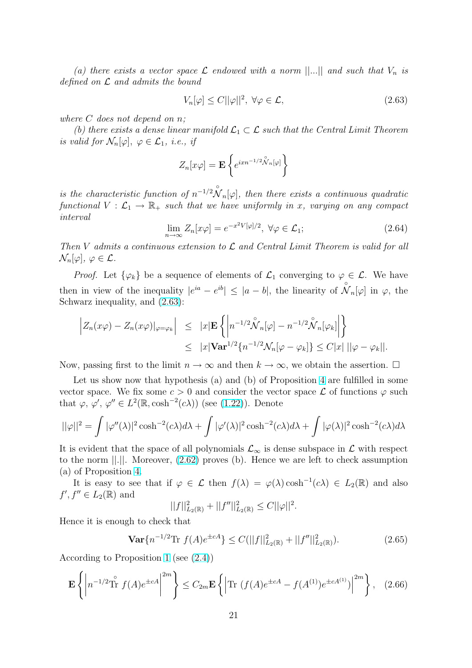<span id="page-20-0"></span>(a) there exists a vector space  $\mathcal L$  endowed with a norm  $||...||$  and such that  $V_n$  is defined on  $\mathcal L$  and admits the bound

$$
V_n[\varphi] \le C ||\varphi||^2, \ \forall \varphi \in \mathcal{L}, \tag{2.63}
$$

where C does not depend on n;

(b) there exists a dense linear manifold  $\mathcal{L}_1 \subset \mathcal{L}$  such that the Central Limit Theorem is valid for  $\mathcal{N}_n[\varphi], \varphi \in \mathcal{L}_1$ , i.e., if

$$
Z_n[x\varphi] = \mathbf{E} \left\{ e^{ixn^{-1/2} \overset{\circ}{\mathcal{N}}_n[\varphi]} \right\}
$$

is the characteristic function of  $n^{-1/2} \overset{\circ}{\mathcal{N}}_n[\varphi]$ , then there exists a continuous quadratic functional  $V : \mathcal{L}_1 \to \mathbb{R}_+$  such that we have uniformly in x, varying on any compact interval

$$
\lim_{n \to \infty} Z_n[x\varphi] = e^{-x^2 V[\varphi]/2}, \ \forall \varphi \in \mathcal{L}_1; \tag{2.64}
$$

Then V admits a continuous extension to  $\mathcal L$  and Central Limit Theorem is valid for all  $\mathcal{N}_n[\varphi], \varphi \in \mathcal{L}.$ 

*Proof.* Let  $\{\varphi_k\}$  be a sequence of elements of  $\mathcal{L}_1$  converging to  $\varphi \in \mathcal{L}$ . We have then in view of the inequality  $|e^{ia} - e^{ib}| \leq |a - b|$ , the linearity of  $\overset{\circ}{\mathcal{N}}_n[\varphi]$  in  $\varphi$ , the Schwarz inequality, and  $(2.63)$ :

$$
\left| Z_n(x\varphi) - Z_n(x\varphi) |_{\varphi = \varphi_k} \right| \leq |x| \mathbf{E} \left\{ \left| n^{-1/2} \overset{\circ}{\mathcal{N}}_n[\varphi] - n^{-1/2} \overset{\circ}{\mathcal{N}}_n[\varphi_k] \right| \right\}
$$
  

$$
\leq |x| \mathbf{Var}^{1/2} \{ n^{-1/2} \mathcal{N}_n[\varphi - \varphi_k] \} \leq C |x| ||\varphi - \varphi_k||.
$$

Now, passing first to the limit  $n \to \infty$  and then  $k \to \infty$ , we obtain the assertion.  $\Box$ 

Let us show now that hypothesis (a) and (b) of Proposition 4 are fulfilled in some vector space. We fix some  $c > 0$  and consider the vector space  $\mathcal L$  of functions  $\varphi$  such that  $\varphi, \varphi', \varphi'' \in L^2(\mathbb{R}, \cosh^{-2}(c\lambda))$  (see (1.22)). Denote

$$
||\varphi||^2 = \int |\varphi''(\lambda)|^2 \cosh^{-2}(c\lambda) d\lambda + \int |\varphi'(\lambda)|^2 \cosh^{-2}(c\lambda) d\lambda + \int |\varphi(\lambda)|^2 \cosh^{-2}(c\lambda) d\lambda
$$

It is evident that the space of all polyn[omials](#page-5-0)  $\mathcal{L}_{\infty}$  is dense subspace in  $\mathcal L$  with respect to the norm ||.||. Moreover, (2.62) proves (b). Hence we are left to check assumption (a) of Proposition 4.

It is easy to see that if  $\varphi \in \mathcal{L}$  then  $f(\lambda) = \varphi(\lambda) \cosh^{-1}(c\lambda) \in L_2(\mathbb{R})$  and also  $f', f'' \in L_2(\mathbb{R})$  and

$$
||f||_{L_2(\mathbb{R})}^2 + ||f''||_{L_2(\mathbb{R})}^2 \leq C||\varphi||^2.
$$

Hence it is enough to check that

$$
\mathbf{Var}\{n^{-1/2}\text{Tr }f(A)e^{\pm cA}\} \le C(||f||^2_{L_2(\mathbb{R})} + ||f''||^2_{L_2(\mathbb{R})}).\tag{2.65}
$$

According to Proposition 1 (see (2.4))

$$
\mathbf{E}\left\{ \left| n^{-1/2} \hat{\text{Tr}} f(A) e^{\pm cA} \right|^{2m} \right\} \le C_{2m} \mathbf{E}\left\{ \left| \text{Tr} \left( f(A) e^{\pm cA} - f(A^{(1)}) e^{\pm cA^{(1)}} \right) \right|^{2m} \right\}, \quad (2.66)
$$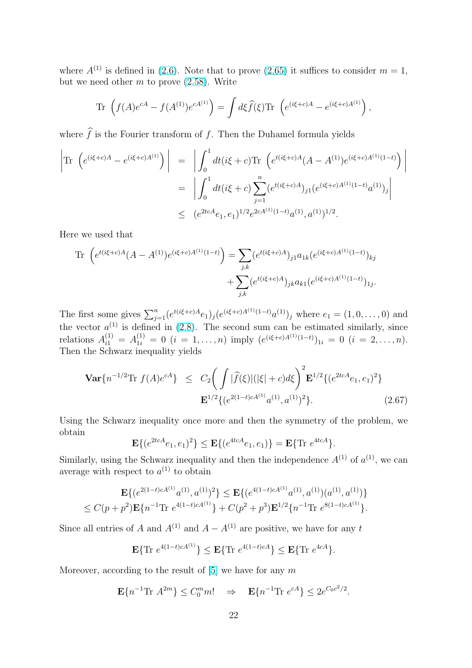where  $A^{(1)}$  is defined in (2.6). Note that to prove (2.65) it suffices to consider  $m = 1$ , but we need other  $m$  to prove  $(2.58)$ . Write

Tr 
$$
(f(A)e^{cA} - f(A^{(1)})e^{cA^{(1)}}) = \int d\xi \hat{f}(\xi) \text{Tr} (e^{(i\xi+c)A} - e^{(i\xi+c)A^{(1)}}),
$$

where  $\hat{f}$  is the Fourier transform of f. Then the Duhamel formula yields

$$
\begin{split} \left| \text{Tr} \left( e^{(i\xi+c)A} - e^{(i\xi+c)A^{(1)}} \right) \right| &= \left| \int_0^1 dt (i\xi+c) \text{Tr} \left( e^{t(i\xi+c)A}(A-A^{(1)}) e^{(i\xi+c)A^{(1)}(1-t)} \right) \right| \\ &= \left| \int_0^1 dt (i\xi+c) \sum_{j=1}^n (e^{t(i\xi+c)A})_{j1} (e^{(i\xi+c)A^{(1)}(1-t)} a^{(1)})_j \right| \\ &\leq \left. (e^{2tcA}e_1, e_1)^{1/2} e^{2cA^{(1)}(1-t)} a^{(1)}, a^{(1)})^{1/2} . \end{split}
$$

Here we used that

Tr 
$$
(e^{t(i\xi+c)A}(A - A^{(1)})e^{(i\xi+c)A^{(1)}(1-t)}) = \sum_{j,k} (e^{t(i\xi+c)A})_{j1} a_{1k} (e^{(i\xi+c)A^{(1)}(1-t)})_{kj}
$$
  
  $+ \sum_{j,k} (e^{t(i\xi+c)A})_{jk} a_{k1} (e^{(i\xi+c)A^{(1)}(1-t)})_{1j}.$ 

The first some gives  $\sum_{j=1}^{n} (e^{t(i\xi+c)A}e_1)_j (e^{(i\xi+c)A^{(1)}(1-t)}a^{(1)})_j$  where  $e_1 = (1,0,\ldots,0)$  and the vector  $a^{(1)}$  is defined in (2.8). The second sum can be estimated similarly, since relations  $A_{i1}^{(1)} = A_{1i}^{(1)} = 0$   $(i = 1, ..., n)$  imply  $(e^{(i\xi+c)A^{(1)}(1-t)})_{1i} = 0$   $(i = 2, ..., n)$ . Then the Schwarz inequality yields

$$
\mathbf{Var}\{n^{-1/2}\text{Tr }f(A)e^{cA}\} \leq C_2 \bigg(\int |\widehat{f}(\xi)| (|\xi| + c) d\xi\bigg)^2 \mathbf{E}^{1/2} \{ (e^{2tcA}e_1, e_1)^2 \} \mathbf{E}^{1/2} \{ (e^{2(1-t)cA^{(1)}}a^{(1)}, a^{(1)})^2 \}.
$$
\n(2.67)

Using the Schwarz inequality once more and then the symmetry of the problem, we obtain

$$
\mathbf{E}\{(e^{2tcA}e_1, e_1)^2\} \le \mathbf{E}\{(e^{4tcA}e_1, e_1)\} = \mathbf{E}\{\text{Tr } e^{4tcA}\}.
$$

Similarly, using the Schwarz inequality and then the independence  $A^{(1)}$  of  $a^{(1)}$ , we can average with respect to  $a^{(1)}$  to obtain

$$
\mathbf{E}\{(e^{2(1-t)cA^{(1)}}a^{(1)},a^{(1)})^2\} \leq \mathbf{E}\{(e^{4(1-t)cA^{(1)}}a^{(1)},a^{(1)})(a^{(1)},a^{(1)})\}
$$
  

$$
\leq C(p+p^2)\mathbf{E}\{n^{-1}\text{Tr }e^{4(1-t)cA^{(1)}}\} + C(p^2+p^3)\mathbf{E}^{1/2}\{n^{-1}\text{Tr }e^{8(1-t)cA^{(1)}}\}.
$$

Since all entries of A and  $A^{(1)}$  and  $A - A^{(1)}$  are positive, we have for any t

$$
\mathbf{E}\{\text{Tr } e^{4(1-t)cA^{(1)}}\} \le \mathbf{E}\{\text{Tr } e^{4(1-t)cA}\} \le \mathbf{E}\{\text{Tr } e^{4cA}\}.
$$

Moreover, according to the result of  $[5]$  we have for any m

$$
\mathbf{E}\{n^{-1}\text{Tr }A^{2m}\}\leq C_0^m m! \quad \Rightarrow \quad \mathbf{E}\{n^{-1}\text{Tr }e^{cA}\}\leq 2e^{C_0c^2/2}.
$$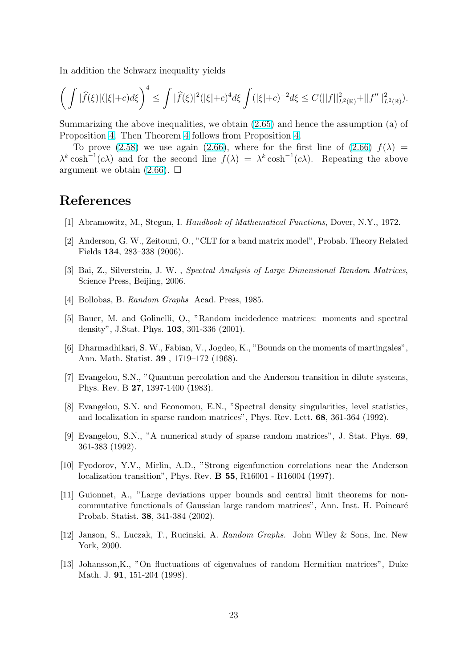<span id="page-22-0"></span>In addition the Schwarz inequality yields

$$
\bigg(\int |\widehat{f}(\xi)| (|\xi|+c) d\xi\bigg)^4\leq \int |\widehat{f}(\xi)|^2 (|\xi|+c)^4 d\xi \int (|\xi|+c)^{-2} d\xi \leq C(\|f\|_{L^2(\mathbb{R})}^2+\|f''\|_{L^2(\mathbb{R})}^2).
$$

Summarizing the above inequalities, we obtain (2.65) and hence the assumption (a) of Proposition 4. Then Theorem 4 follows from Proposition 4.

To prove (2.58) we use again (2.66), where for the first line of (2.66)  $f(\lambda)$  =  $\lambda^k \cosh^{-1}(c\lambda)$  and for the second line  $f(\lambda) = \lambda^k \cosh^{-1}(c\lambda)$ . Repeating the above argument w[e o](#page-19-0)btain  $(2.66)$ .  $\Box$ 

## References

- [1] Abramowitz, M., Stegun, I. Handbook of Mathematical Functions, Dover, N.Y., 1972.
- [2] Anderson, G. W., Zeitouni, O., "CLT for a band matrix model", Probab. Theory Related Fields 134, 283–338 (2006).
- [3] Bai, Z., Silverstein, J. W. , Spectral Analysis of Large Dimensional Random Matrices, Science Press, Beijing, 2006.
- [4] Bollobas, B. Random Graphs Acad. Press, 1985.
- [5] Bauer, M. and Golinelli, O., "Random incidedence matrices: moments and spectral density", J.Stat. Phys. 103, 301-336 (2001).
- [6] Dharmadhikari, S. W., Fabian, V., Jogdeo, K., "Bounds on the moments of martingales", Ann. Math. Statist. 39 , 1719–172 (1968).
- [7] Evangelou, S.N., "Quantum percolation and the Anderson transition in dilute systems, Phys. Rev. B 27, 1397-1400 (1983).
- [8] Evangelou, S.N. and Economou, E.N., "Spectral density singularities, level statistics, and localization in sparse random matrices", Phys. Rev. Lett. 68, 361-364 (1992).
- [9] Evangelou, S.N., "A numerical study of sparse random matrices", J. Stat. Phys. 69, 361-383 (1992).
- [10] Fyodorov, Y.V., Mirlin, A.D., "Strong eigenfunction correlations near the Anderson localization transition", Phys. Rev. B 55, R16001 - R16004 (1997).
- [11] Guionnet, A., "Large deviations upper bounds and central limit theorems for noncommutative functionals of Gaussian large random matrices", Ann. Inst. H. Poincar´e Probab. Statist. 38, 341-384 (2002).
- [12] Janson, S., Luczak, T., Rucinski, A. Random Graphs. John Wiley & Sons, Inc. New York, 2000.
- [13] Johansson,K., "On fluctuations of eigenvalues of random Hermitian matrices", Duke Math. J. **91**, 151-204 (1998).